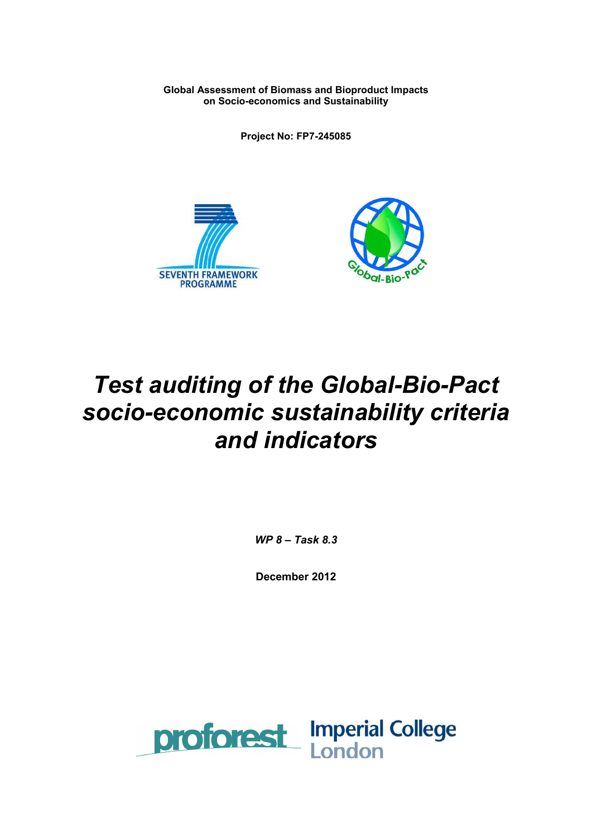**Global Assessment of Biomass and Bioproduct Impacts on Socio-economics and Sustainability** 

**Project No: FP7-245085** 





# *Test auditing of the Global-Bio-Pact socio-economic sustainability criteria and indicators*

*WP 8 – Task 8.3* 

**December 2012** 

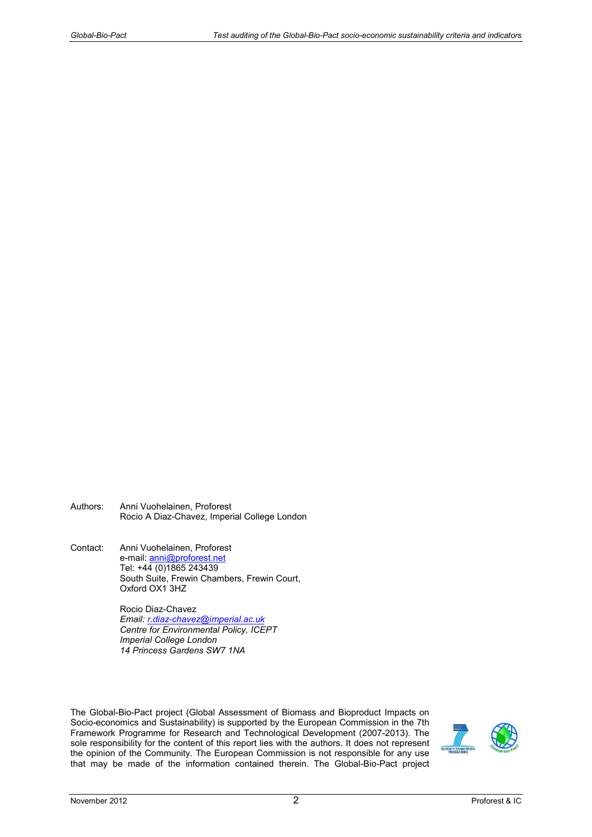- Authors: Anni Vuohelainen, Proforest Rocio A Diaz-Chavez, Imperial College London
- Contact: Anni Vuohelainen, Proforest e-mail: anni@proforest.net Tel: +44 (0)1865 243439 South Suite, Frewin Chambers, Frewin Court, Oxford OX1 3HZ

Rocio Diaz-Chavez *Email: r.diaz-chavez@imperial.ac.uk Centre for Environmental Policy, ICEPT Imperial College London 14 Princess Gardens SW7 1NA* 

The Global-Bio-Pact project (Global Assessment of Biomass and Bioproduct Impacts on Socio-economics and Sustainability) is supported by the European Commission in the 7th Framework Programme for Research and Technological Development (2007-2013). The sole responsibility for the content of this report lies with the authors. It does not represent the opinion of the Community. The European Commission is not responsible for any use that may be made of the information contained therein. The Global-Bio-Pact project

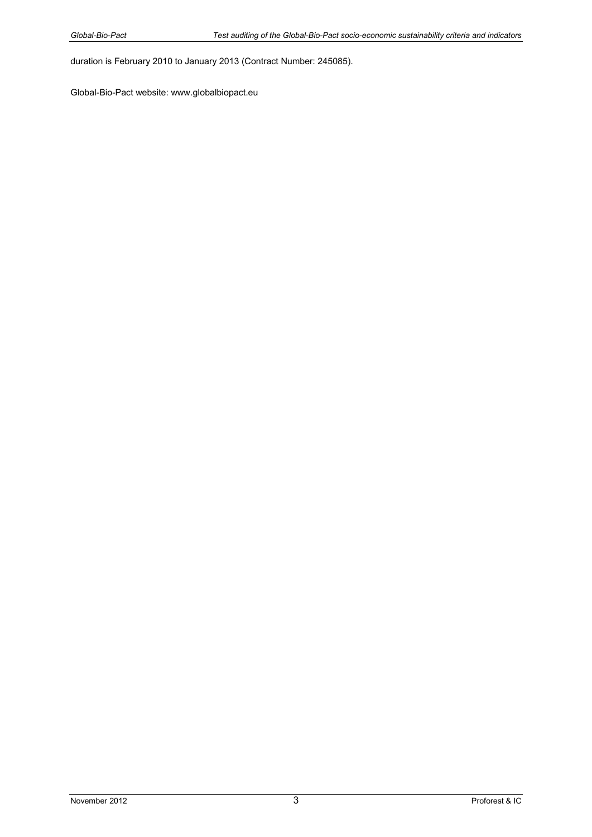duration is February 2010 to January 2013 (Contract Number: 245085).

Global-Bio-Pact website: www.globalbiopact.eu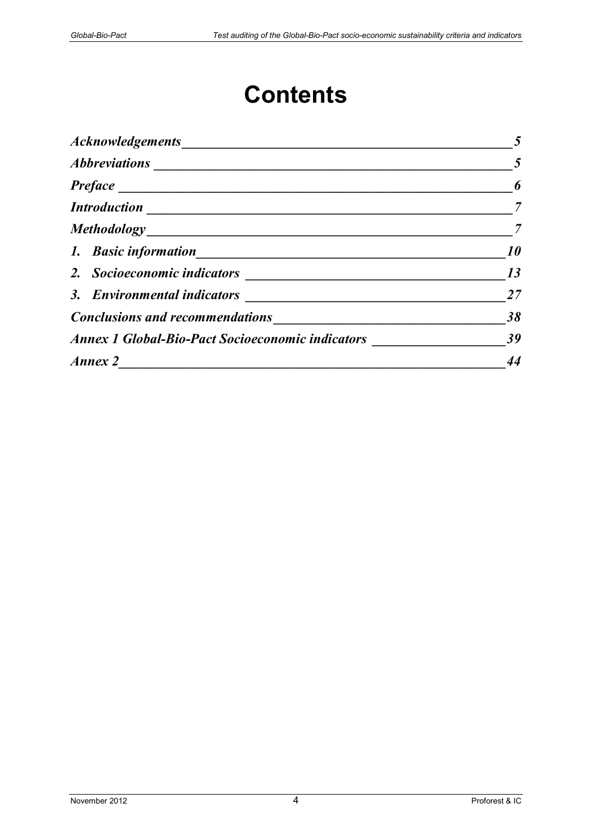# **Contents**

|                                                         | $\overline{\phantom{0}}$ 5 |
|---------------------------------------------------------|----------------------------|
|                                                         | 6                          |
|                                                         | $\overline{7}$             |
|                                                         |                            |
|                                                         | 10                         |
|                                                         | 13                         |
|                                                         | 27                         |
| Conclusions and recommendations                         | 38                         |
| <b>Annex 1 Global-Bio-Pact Socioeconomic indicators</b> | 39                         |
| Annex 2                                                 | 44                         |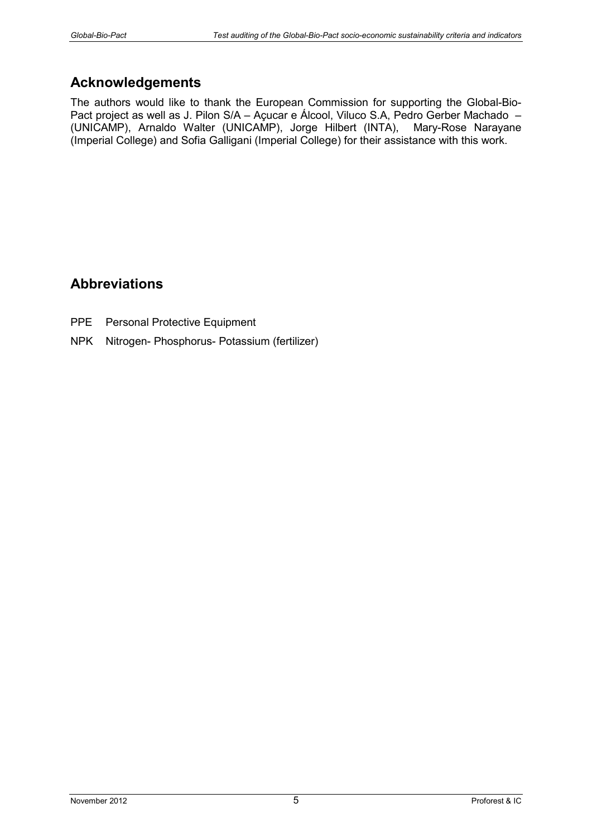# **Acknowledgements**

The authors would like to thank the European Commission for supporting the Global-Bio-Pact project as well as J. Pilon S/A – Açucar e Álcool, Viluco S.A, Pedro Gerber Machado – (UNICAMP), Arnaldo Walter (UNICAMP), Jorge Hilbert (INTA), Mary-Rose Narayane (Imperial College) and Sofia Galligani (Imperial College) for their assistance with this work.

# **Abbreviations**

- PPE Personal Protective Equipment
- NPK Nitrogen- Phosphorus- Potassium (fertilizer)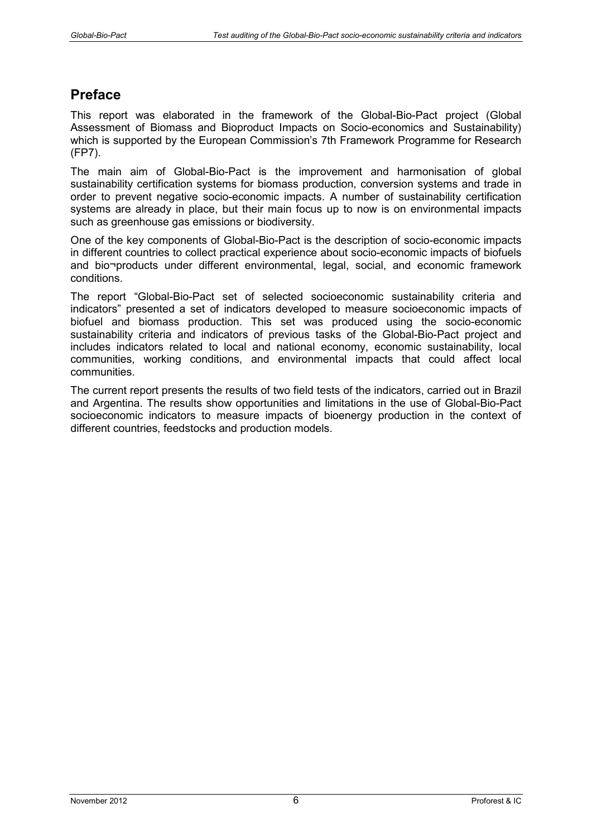# **Preface**

This report was elaborated in the framework of the Global-Bio-Pact project (Global Assessment of Biomass and Bioproduct Impacts on Socio-economics and Sustainability) which is supported by the European Commission's 7th Framework Programme for Research (FP7).

The main aim of Global-Bio-Pact is the improvement and harmonisation of global sustainability certification systems for biomass production, conversion systems and trade in order to prevent negative socio-economic impacts. A number of sustainability certification systems are already in place, but their main focus up to now is on environmental impacts such as greenhouse gas emissions or biodiversity.

One of the key components of Global-Bio-Pact is the description of socio-economic impacts in different countries to collect practical experience about socio-economic impacts of biofuels and bio¬products under different environmental, legal, social, and economic framework conditions.

The report "Global-Bio-Pact set of selected socioeconomic sustainability criteria and indicators" presented a set of indicators developed to measure socioeconomic impacts of biofuel and biomass production. This set was produced using the socio-economic sustainability criteria and indicators of previous tasks of the Global-Bio-Pact project and includes indicators related to local and national economy, economic sustainability, local communities, working conditions, and environmental impacts that could affect local communities.

The current report presents the results of two field tests of the indicators, carried out in Brazil and Argentina. The results show opportunities and limitations in the use of Global-Bio-Pact socioeconomic indicators to measure impacts of bioenergy production in the context of different countries, feedstocks and production models.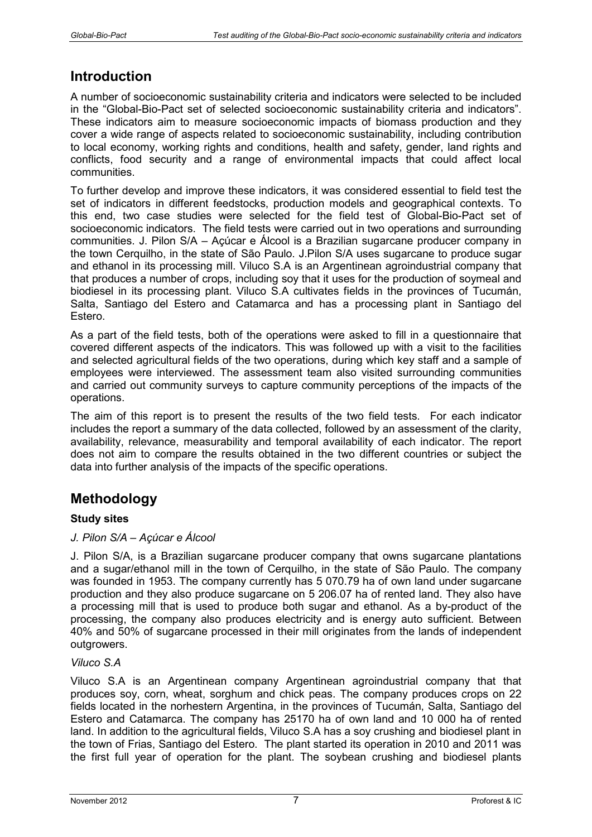# **Introduction**

A number of socioeconomic sustainability criteria and indicators were selected to be included in the "Global-Bio-Pact set of selected socioeconomic sustainability criteria and indicators". These indicators aim to measure socioeconomic impacts of biomass production and they cover a wide range of aspects related to socioeconomic sustainability, including contribution to local economy, working rights and conditions, health and safety, gender, land rights and conflicts, food security and a range of environmental impacts that could affect local communities.

To further develop and improve these indicators, it was considered essential to field test the set of indicators in different feedstocks, production models and geographical contexts. To this end, two case studies were selected for the field test of Global-Bio-Pact set of socioeconomic indicators. The field tests were carried out in two operations and surrounding communities. J. Pilon S/A – Açúcar e Álcool is a Brazilian sugarcane producer company in the town Cerquilho, in the state of São Paulo. J.Pilon S/A uses sugarcane to produce sugar and ethanol in its processing mill. Viluco S.A is an Argentinean agroindustrial company that that produces a number of crops, including soy that it uses for the production of soymeal and biodiesel in its processing plant. Viluco S.A cultivates fields in the provinces of Tucumán, Salta, Santiago del Estero and Catamarca and has a processing plant in Santiago del Estero.

As a part of the field tests, both of the operations were asked to fill in a questionnaire that covered different aspects of the indicators. This was followed up with a visit to the facilities and selected agricultural fields of the two operations, during which key staff and a sample of employees were interviewed. The assessment team also visited surrounding communities and carried out community surveys to capture community perceptions of the impacts of the operations.

The aim of this report is to present the results of the two field tests. For each indicator includes the report a summary of the data collected, followed by an assessment of the clarity, availability, relevance, measurability and temporal availability of each indicator. The report does not aim to compare the results obtained in the two different countries or subject the data into further analysis of the impacts of the specific operations.

# **Methodology**

# **Study sites**

# *J. Pilon S/A – Açúcar e Álcool*

J. Pilon S/A, is a Brazilian sugarcane producer company that owns sugarcane plantations and a sugar/ethanol mill in the town of Cerquilho, in the state of São Paulo. The company was founded in 1953. The company currently has 5 070.79 ha of own land under sugarcane production and they also produce sugarcane on 5 206.07 ha of rented land. They also have a processing mill that is used to produce both sugar and ethanol. As a by-product of the processing, the company also produces electricity and is energy auto sufficient. Between 40% and 50% of sugarcane processed in their mill originates from the lands of independent outgrowers.

### *Viluco S.A*

Viluco S.A is an Argentinean company Argentinean agroindustrial company that that produces soy, corn, wheat, sorghum and chick peas. The company produces crops on 22 fields located in the norhestern Argentina, in the provinces of Tucumán, Salta, Santiago del Estero and Catamarca. The company has 25170 ha of own land and 10 000 ha of rented land. In addition to the agricultural fields, Viluco S.A has a soy crushing and biodiesel plant in the town of Frias, Santiago del Estero. The plant started its operation in 2010 and 2011 was the first full year of operation for the plant. The soybean crushing and biodiesel plants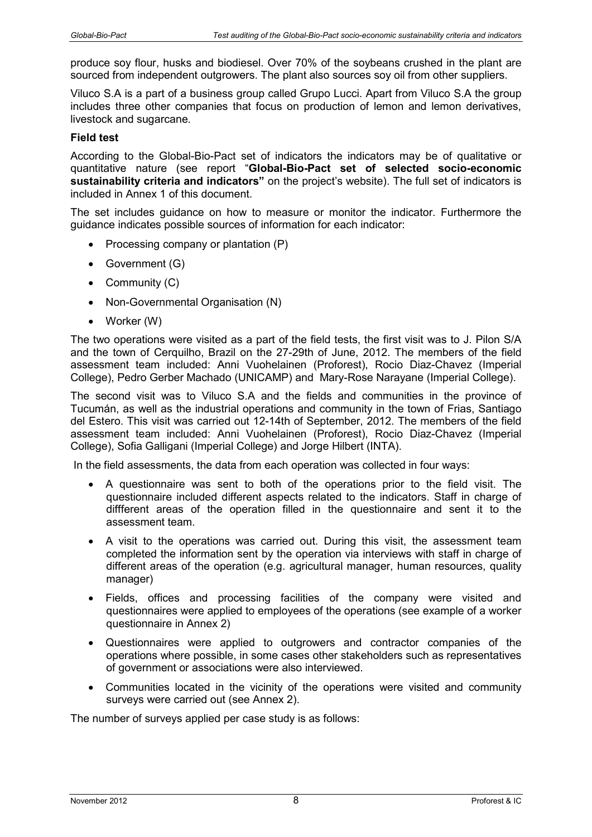produce soy flour, husks and biodiesel. Over 70% of the soybeans crushed in the plant are sourced from independent outgrowers. The plant also sources soy oil from other suppliers.

Viluco S.A is a part of a business group called Grupo Lucci. Apart from Viluco S.A the group includes three other companies that focus on production of lemon and lemon derivatives, livestock and sugarcane.

#### **Field test**

According to the Global-Bio-Pact set of indicators the indicators may be of qualitative or quantitative nature (see report "**Global-Bio-Pact set of selected socio-economic sustainability criteria and indicators"** on the project's website). The full set of indicators is included in Annex 1 of this document.

The set includes guidance on how to measure or monitor the indicator. Furthermore the guidance indicates possible sources of information for each indicator:

- Processing company or plantation (P)
- Government (G)
- Community (C)
- Non-Governmental Organisation (N)
- Worker (W)

The two operations were visited as a part of the field tests, the first visit was to J. Pilon S/A and the town of Cerquilho, Brazil on the 27-29th of June, 2012. The members of the field assessment team included: Anni Vuohelainen (Proforest), Rocio Diaz-Chavez (Imperial College), Pedro Gerber Machado (UNICAMP) and Mary-Rose Narayane (Imperial College).

The second visit was to Viluco S.A and the fields and communities in the province of Tucumán, as well as the industrial operations and community in the town of Frias, Santiago del Estero. This visit was carried out 12-14th of September, 2012. The members of the field assessment team included: Anni Vuohelainen (Proforest), Rocio Diaz-Chavez (Imperial College), Sofia Galligani (Imperial College) and Jorge Hilbert (INTA).

In the field assessments, the data from each operation was collected in four ways:

- A questionnaire was sent to both of the operations prior to the field visit. The questionnaire included different aspects related to the indicators. Staff in charge of diffferent areas of the operation filled in the questionnaire and sent it to the assessment team.
- A visit to the operations was carried out. During this visit, the assessment team completed the information sent by the operation via interviews with staff in charge of different areas of the operation (e.g. agricultural manager, human resources, quality manager)
- Fields, offices and processing facilities of the company were visited and questionnaires were applied to employees of the operations (see example of a worker questionnaire in Annex 2)
- Questionnaires were applied to outgrowers and contractor companies of the operations where possible, in some cases other stakeholders such as representatives of government or associations were also interviewed.
- Communities located in the vicinity of the operations were visited and community surveys were carried out (see Annex 2).

The number of surveys applied per case study is as follows: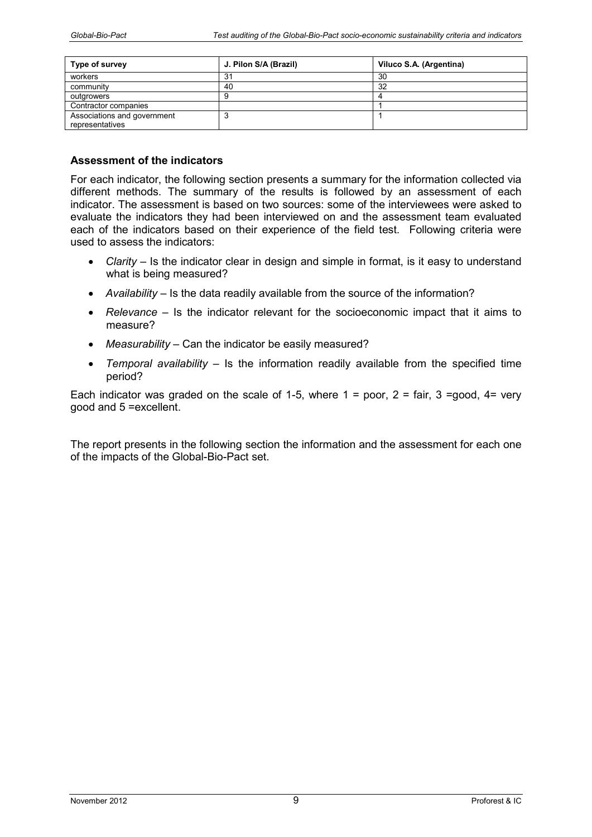| Type of survey                                 | J. Pilon S/A (Brazil) | Viluco S.A. (Argentina) |
|------------------------------------------------|-----------------------|-------------------------|
| workers                                        | 31                    | 30                      |
| community                                      | 40                    | 32                      |
| outgrowers                                     |                       |                         |
| Contractor companies                           |                       |                         |
| Associations and government<br>representatives |                       |                         |

For each indicator, the following section presents a summary for the information collected via different methods. The summary of the results is followed by an assessment of each indicator. The assessment is based on two sources: some of the interviewees were asked to evaluate the indicators they had been interviewed on and the assessment team evaluated each of the indicators based on their experience of the field test. Following criteria were used to assess the indicators:

- *Clarity –* Is the indicator clear in design and simple in format, is it easy to understand what is being measured?
- *Availability* Is the data readily available from the source of the information?
- *Relevance*  Is the indicator relevant for the socioeconomic impact that it aims to measure?
- *Measurability* Can the indicator be easily measured?
- *Temporal availability*  Is the information readily available from the specified time period?

Each indicator was graded on the scale of 1-5, where  $1 =$  poor,  $2 =$  fair,  $3 =$  good,  $4 =$  very good and 5 =excellent.

The report presents in the following section the information and the assessment for each one of the impacts of the Global-Bio-Pact set.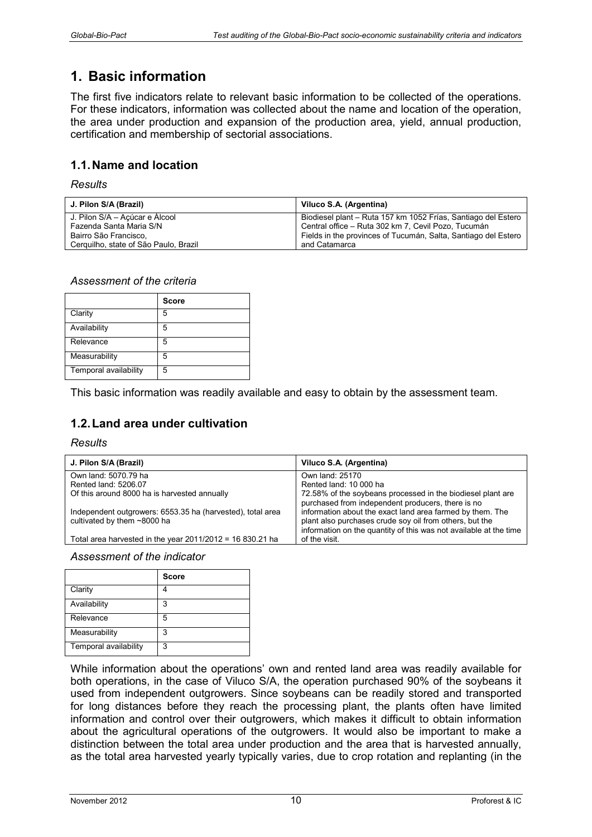# **1. Basic information**

The first five indicators relate to relevant basic information to be collected of the operations. For these indicators, information was collected about the name and location of the operation, the area under production and expansion of the production area, yield, annual production, certification and membership of sectorial associations.

# **1.1. Name and location**

*Results* 

| J. Pilon S/A (Brazil)                 | Viluco S.A. (Argentina)                                        |
|---------------------------------------|----------------------------------------------------------------|
| J. Pilon S/A – Açúcar e Alcool        | Biodiesel plant – Ruta 157 km 1052 Frías, Santiago del Estero  |
| Fazenda Santa Maria S/N               | Central office – Ruta 302 km 7, Cevil Pozo, Tucumán            |
| Bairro São Francisco.                 | Fields in the provinces of Tucumán, Salta, Santiago del Estero |
| Cerquilho, state of São Paulo, Brazil | and Catamarca                                                  |

### *Assessment of the criteria*

|                       | <b>Score</b> |
|-----------------------|--------------|
| Clarity               | 5            |
| Availability          | 5            |
| Relevance             | 5            |
| Measurability         | 5            |
| Temporal availability | 5            |

This basic information was readily available and easy to obtain by the assessment team.

# **1.2. Land area under cultivation**

#### *Results*

| J. Pilon S/A (Brazil)                                                                     | Viluco S.A. (Argentina)                                                                                                                                                                   |
|-------------------------------------------------------------------------------------------|-------------------------------------------------------------------------------------------------------------------------------------------------------------------------------------------|
| Own land: 5070.79 ha                                                                      | Own land: 25170                                                                                                                                                                           |
| Rented land: 5206.07                                                                      | Rented land: 10 000 ha                                                                                                                                                                    |
| Of this around 8000 ha is harvested annually                                              | 72.58% of the soybeans processed in the biodiesel plant are<br>purchased from independent producers, there is no                                                                          |
| Independent outgrowers: 6553.35 ha (harvested), total area<br>cultivated by them ~8000 ha | information about the exact land area farmed by them. The<br>plant also purchases crude soy oil from others, but the<br>information on the quantity of this was not available at the time |
| Total area harvested in the year $2011/2012 = 16830.21$ ha                                | of the visit.                                                                                                                                                                             |

*Assessment of the indicator* 

|                       | <b>Score</b> |
|-----------------------|--------------|
| Clarity               |              |
| Availability          | 3            |
| Relevance             | 5            |
| Measurability         | 3            |
| Temporal availability | 3            |

While information about the operations' own and rented land area was readily available for both operations, in the case of Viluco S/A, the operation purchased 90% of the soybeans it used from independent outgrowers. Since soybeans can be readily stored and transported for long distances before they reach the processing plant, the plants often have limited information and control over their outgrowers, which makes it difficult to obtain information about the agricultural operations of the outgrowers. It would also be important to make a distinction between the total area under production and the area that is harvested annually, as the total area harvested yearly typically varies, due to crop rotation and replanting (in the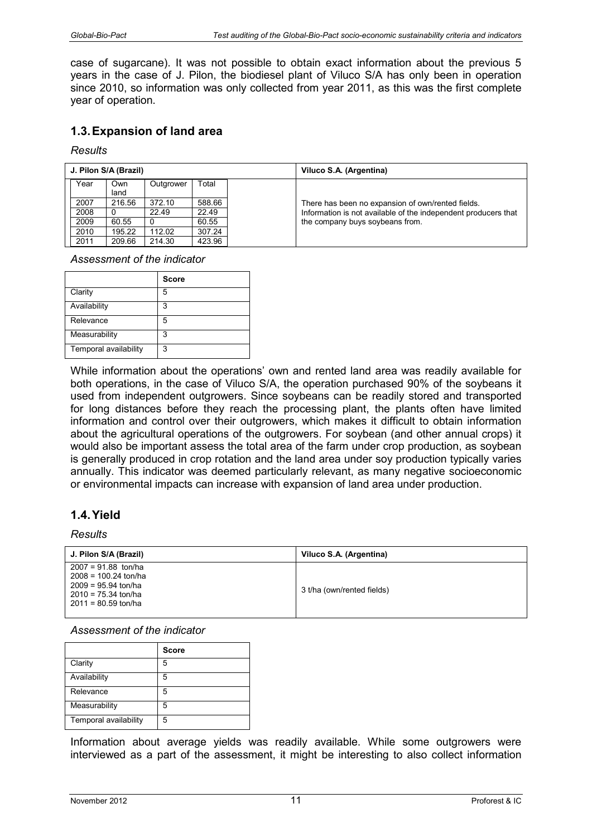case of sugarcane). It was not possible to obtain exact information about the previous 5 years in the case of J. Pilon, the biodiesel plant of Viluco S/A has only been in operation since 2010, so information was only collected from year 2011, as this was the first complete year of operation.

# **1.3. Expansion of land area**

*Results* 

|      | J. Pilon S/A (Brazil) |           |        | Viluco S.A. (Argentina)                                        |
|------|-----------------------|-----------|--------|----------------------------------------------------------------|
| Year | Own                   | Outgrower | Total  |                                                                |
|      | land                  |           |        |                                                                |
| 2007 | 216.56                | 372.10    | 588.66 | There has been no expansion of own/rented fields.              |
| 2008 |                       | 22.49     | 22.49  | Information is not available of the independent producers that |
| 2009 | 60.55                 |           | 60.55  | the company buys soybeans from.                                |
| 2010 | 195.22                | 112.02    | 307.24 |                                                                |
| 2011 | 209.66                | 214.30    | 423.96 |                                                                |

*Assessment of the indicator* 

|                       | <b>Score</b> |
|-----------------------|--------------|
| Clarity               | 5            |
| Availability          | 3            |
| Relevance             | 5            |
| Measurability         | 3            |
| Temporal availability | 3            |

While information about the operations' own and rented land area was readily available for both operations, in the case of Viluco S/A, the operation purchased 90% of the soybeans it used from independent outgrowers. Since soybeans can be readily stored and transported for long distances before they reach the processing plant, the plants often have limited information and control over their outgrowers, which makes it difficult to obtain information about the agricultural operations of the outgrowers. For soybean (and other annual crops) it would also be important assess the total area of the farm under crop production, as soybean is generally produced in crop rotation and the land area under soy production typically varies annually. This indicator was deemed particularly relevant, as many negative socioeconomic or environmental impacts can increase with expansion of land area under production.

# **1.4. Yield**

#### *Results*

| J. Pilon S/A (Brazil)                                                                                                      | Viluco S.A. (Argentina)    |
|----------------------------------------------------------------------------------------------------------------------------|----------------------------|
| $2007 = 91.88$ ton/ha<br>$2008 = 100.24$ ton/ha<br>$2009 = 95.94$ ton/ha<br>$2010 = 75.34$ ton/ha<br>$2011 = 80.59$ ton/ha | 3 t/ha (own/rented fields) |

#### *Assessment of the indicator*

|                       | <b>Score</b> |
|-----------------------|--------------|
| Clarity               | 5            |
| Availability          | 5            |
| Relevance             | 5            |
| Measurability         | 5            |
| Temporal availability | 5            |

Information about average yields was readily available. While some outgrowers were interviewed as a part of the assessment, it might be interesting to also collect information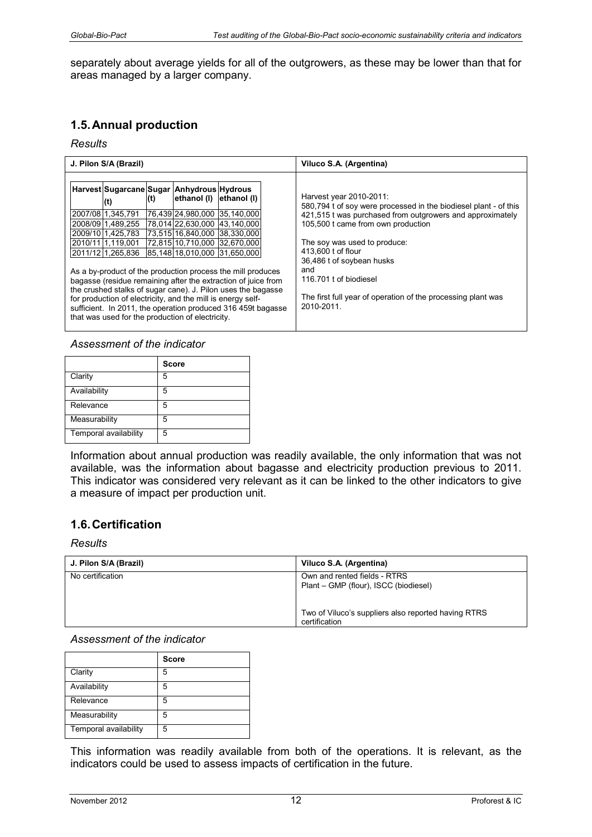separately about average yields for all of the outgrowers, as these may be lower than that for areas managed by a larger company.

# **1.5. Annual production**

#### *Results*

| J. Pilon S/A (Brazil)                                                                                                                                                                                                                                                                                                                                                                                                                                                                                                                                                                                                                                                                                                                            | Viluco S.A. (Argentina)                                                                                                                                                                                                                                                                                                                                                                          |
|--------------------------------------------------------------------------------------------------------------------------------------------------------------------------------------------------------------------------------------------------------------------------------------------------------------------------------------------------------------------------------------------------------------------------------------------------------------------------------------------------------------------------------------------------------------------------------------------------------------------------------------------------------------------------------------------------------------------------------------------------|--------------------------------------------------------------------------------------------------------------------------------------------------------------------------------------------------------------------------------------------------------------------------------------------------------------------------------------------------------------------------------------------------|
| Harvest Sugarcane Sugar Anhydrous Hydrous<br>ethanol (I) ethanol (I)<br>(t)<br>(t)<br>2007/08 1,345,791<br>76,439 24,980,000 35,140,000<br>178.014122.630.000 143.140.000<br>2008/09 1.489,255<br>2009/10 1.425,783<br>73,515 16,840,000 38,330,000<br>72,815 10,710,000 32,670,000<br>2010/11 1.119,001<br>2011/12 1,265,836<br>85,148 18,010,000 31,650,000<br>As a by-product of the production process the mill produces<br>bagasse (residue remaining after the extraction of juice from<br>the crushed stalks of sugar cane). J. Pilon uses the bagasse<br>for production of electricity, and the mill is energy self-<br>sufficient. In 2011, the operation produced 316 459t bagasse<br>that was used for the production of electricity. | Harvest year 2010-2011:<br>580,794 t of soy were processed in the biodiesel plant - of this<br>421,515 t was purchased from outgrowers and approximately<br>105,500 t came from own production<br>The soy was used to produce:<br>413,600 t of flour<br>36,486 t of soybean husks<br>and<br>116,701 t of biodiesel<br>The first full year of operation of the processing plant was<br>2010-2011. |

#### *Assessment of the indicator*

|                       | <b>Score</b> |
|-----------------------|--------------|
| Clarity               | 5            |
| Availability          | 5            |
| Relevance             | 5            |
| Measurability         | 5            |
| Temporal availability | 5            |

Information about annual production was readily available, the only information that was not available, was the information about bagasse and electricity production previous to 2011. This indicator was considered very relevant as it can be linked to the other indicators to give a measure of impact per production unit.

# **1.6. Certification**

#### *Results*

| J. Pilon S/A (Brazil) | Viluco S.A. (Argentina)                                               |
|-----------------------|-----------------------------------------------------------------------|
| No certification      | Own and rented fields - RTRS<br>Plant – GMP (flour), ISCC (biodiesel) |
|                       | Two of Viluco's suppliers also reported having RTRS<br>certification  |

#### *Assessment of the indicator*

|                       | <b>Score</b> |
|-----------------------|--------------|
| Clarity               | 5            |
| Availability          | 5            |
| Relevance             | 5            |
| Measurability         | 5            |
| Temporal availability | 5            |

This information was readily available from both of the operations. It is relevant, as the indicators could be used to assess impacts of certification in the future.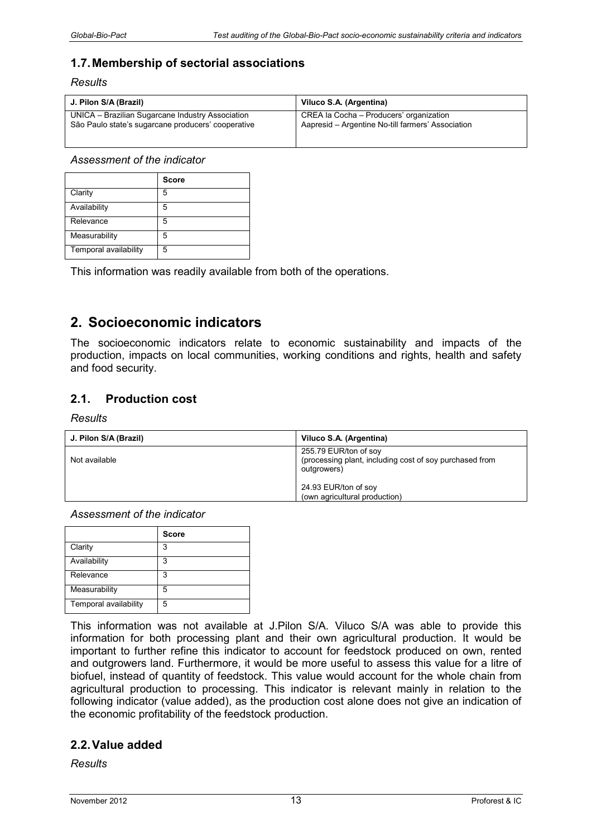# **1.7. Membership of sectorial associations**

*Results* 

| J. Pilon S/A (Brazil)                              | Viluco S.A. (Argentina)                           |
|----------------------------------------------------|---------------------------------------------------|
| UNICA - Brazilian Sugarcane Industry Association   | CREA la Cocha - Producers' organization           |
| São Paulo state's sugarcane producers' cooperative | Aapresid – Argentine No-till farmers' Association |

*Assessment of the indicator* 

|                       | <b>Score</b> |
|-----------------------|--------------|
| Clarity               | 5            |
| Availability          | 5            |
| Relevance             | 5            |
| Measurability         | 5            |
| Temporal availability | 5            |

This information was readily available from both of the operations.

# **2. Socioeconomic indicators**

The socioeconomic indicators relate to economic sustainability and impacts of the production, impacts on local communities, working conditions and rights, health and safety and food security.

# **2.1. Production cost**

#### *Results*

| J. Pilon S/A (Brazil) | Viluco S.A. (Argentina)                                                                         |
|-----------------------|-------------------------------------------------------------------------------------------------|
| Not available         | 255.79 EUR/ton of soy<br>(processing plant, including cost of soy purchased from<br>outgrowers) |
|                       | 24.93 EUR/ton of soy<br>(own agricultural production)                                           |

*Assessment of the indicator* 

|                       | <b>Score</b> |
|-----------------------|--------------|
| Clarity               | 3            |
| Availability          | 3            |
| Relevance             | 3            |
| Measurability         | 5            |
| Temporal availability | 5            |

This information was not available at J.Pilon S/A. Viluco S/A was able to provide this information for both processing plant and their own agricultural production. It would be important to further refine this indicator to account for feedstock produced on own, rented and outgrowers land. Furthermore, it would be more useful to assess this value for a litre of biofuel, instead of quantity of feedstock. This value would account for the whole chain from agricultural production to processing. This indicator is relevant mainly in relation to the following indicator (value added), as the production cost alone does not give an indication of the economic profitability of the feedstock production.

### **2.2. Value added**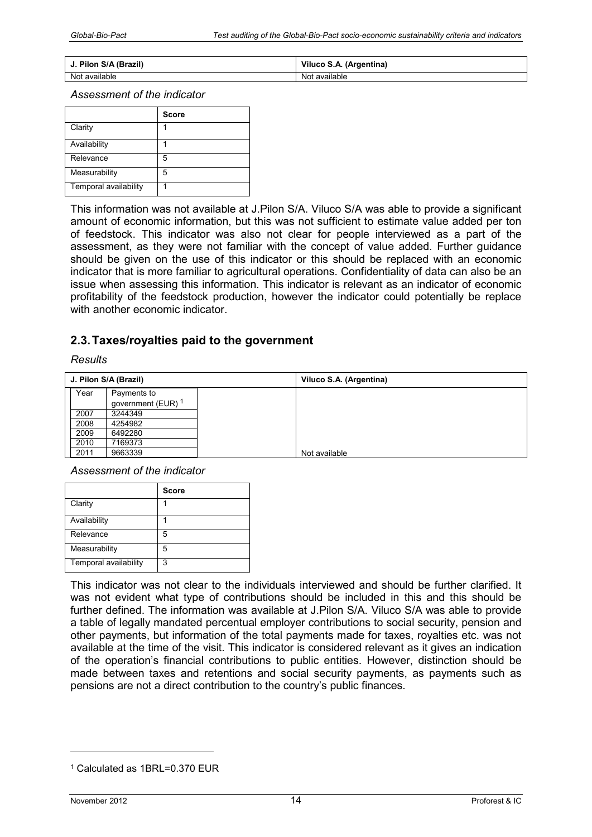| J. Pilon S/A (Brazil) | Viluco S.A. (Argentina) |
|-----------------------|-------------------------|
| Not available         | Not available           |

|                       | <b>Score</b> |
|-----------------------|--------------|
| Clarity               |              |
| Availability          |              |
| Relevance             | 5            |
| Measurability         | 5            |
| Temporal availability |              |

This information was not available at J.Pilon S/A. Viluco S/A was able to provide a significant amount of economic information, but this was not sufficient to estimate value added per ton of feedstock. This indicator was also not clear for people interviewed as a part of the assessment, as they were not familiar with the concept of value added. Further guidance should be given on the use of this indicator or this should be replaced with an economic indicator that is more familiar to agricultural operations. Confidentiality of data can also be an issue when assessing this information. This indicator is relevant as an indicator of economic profitability of the feedstock production, however the indicator could potentially be replace with another economic indicator.

# **2.3. Taxes/royalties paid to the government**

#### *Results*

|      | J. Pilon S/A (Brazil)         | Viluco S.A. (Argentina) |
|------|-------------------------------|-------------------------|
| Year | Payments to                   |                         |
|      | government (EUR) <sup>1</sup> |                         |
| 2007 | 3244349                       |                         |
| 2008 | 4254982                       |                         |
| 2009 | 6492280                       |                         |
| 2010 | 7169373                       |                         |
| 2011 | 9663339                       | Not available           |

*Assessment of the indicator* 

|                       | <b>Score</b> |
|-----------------------|--------------|
| Clarity               |              |
| Availability          |              |
| Relevance             | 5            |
| Measurability         | 5            |
| Temporal availability | 3            |

This indicator was not clear to the individuals interviewed and should be further clarified. It was not evident what type of contributions should be included in this and this should be further defined. The information was available at J.Pilon S/A. Viluco S/A was able to provide a table of legally mandated percentual employer contributions to social security, pension and other payments, but information of the total payments made for taxes, royalties etc. was not available at the time of the visit. This indicator is considered relevant as it gives an indication of the operation's financial contributions to public entities. However, distinction should be made between taxes and retentions and social security payments, as payments such as pensions are not a direct contribution to the country's public finances.

-

<sup>1</sup> Calculated as 1BRL=0.370 EUR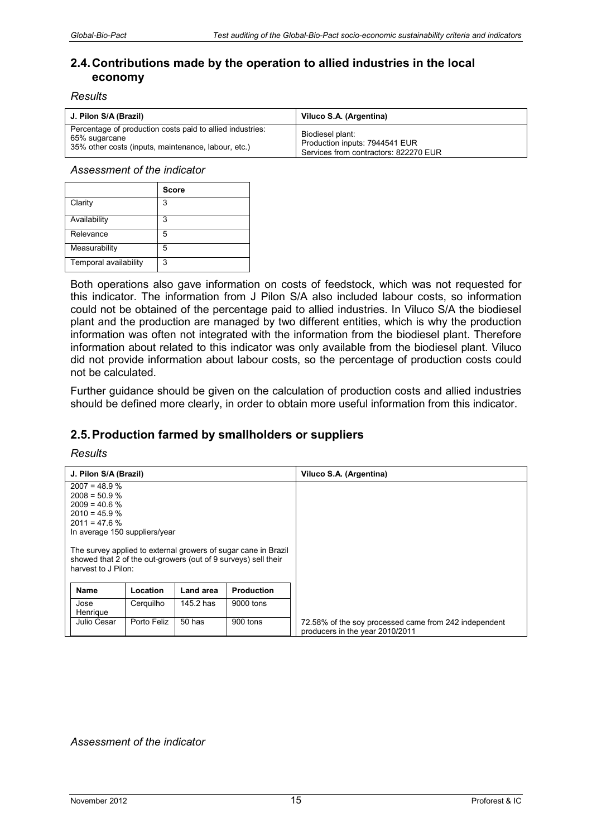# **2.4. Contributions made by the operation to allied industries in the local economy**

#### *Results*

| J. Pilon S/A (Brazil)                                     | Viluco S.A. (Argentina)               |
|-----------------------------------------------------------|---------------------------------------|
| Percentage of production costs paid to allied industries: | Biodiesel plant:                      |
| 65% sugarcane                                             | Production inputs: 7944541 EUR        |
| 35% other costs (inputs, maintenance, labour, etc.)       | Services from contractors: 822270 EUR |

*Assessment of the indicator* 

|                       | <b>Score</b> |
|-----------------------|--------------|
| Clarity               | 3            |
| Availability          | 3            |
| Relevance             | 5            |
| Measurability         | 5            |
| Temporal availability | 3            |

Both operations also gave information on costs of feedstock, which was not requested for this indicator. The information from J Pilon S/A also included labour costs, so information could not be obtained of the percentage paid to allied industries. In Viluco S/A the biodiesel plant and the production are managed by two different entities, which is why the production information was often not integrated with the information from the biodiesel plant. Therefore information about related to this indicator was only available from the biodiesel plant. Viluco did not provide information about labour costs, so the percentage of production costs could not be calculated.

Further guidance should be given on the calculation of production costs and allied industries should be defined more clearly, in order to obtain more useful information from this indicator.

# **2.5. Production farmed by smallholders or suppliers**

#### *Results*

| J. Pilon S/A (Brazil)              |             |           |                                                                                                                                  | Viluco S.A. (Argentina)                                                                  |
|------------------------------------|-------------|-----------|----------------------------------------------------------------------------------------------------------------------------------|------------------------------------------------------------------------------------------|
| $2007 = 48.9 %$                    |             |           |                                                                                                                                  |                                                                                          |
| $2008 = 50.9 %$<br>$2009 = 40.6 %$ |             |           |                                                                                                                                  |                                                                                          |
| $2010 = 45.9 \%$                   |             |           |                                                                                                                                  |                                                                                          |
| $2011 = 47.6 %$                    |             |           |                                                                                                                                  |                                                                                          |
| In average 150 suppliers/year      |             |           |                                                                                                                                  |                                                                                          |
| harvest to J Pilon:                |             |           | The survey applied to external growers of sugar cane in Brazil<br>showed that 2 of the out-growers (out of 9 surveys) sell their |                                                                                          |
| <b>Name</b>                        | Location    | Land area | <b>Production</b>                                                                                                                |                                                                                          |
| Jose<br>Henrique                   | Cerquilho   | 145.2 has | 9000 tons                                                                                                                        |                                                                                          |
| Julio Cesar                        | Porto Feliz | $50$ has  | 900 tons                                                                                                                         | 72.58% of the soy processed came from 242 independent<br>producers in the year 2010/2011 |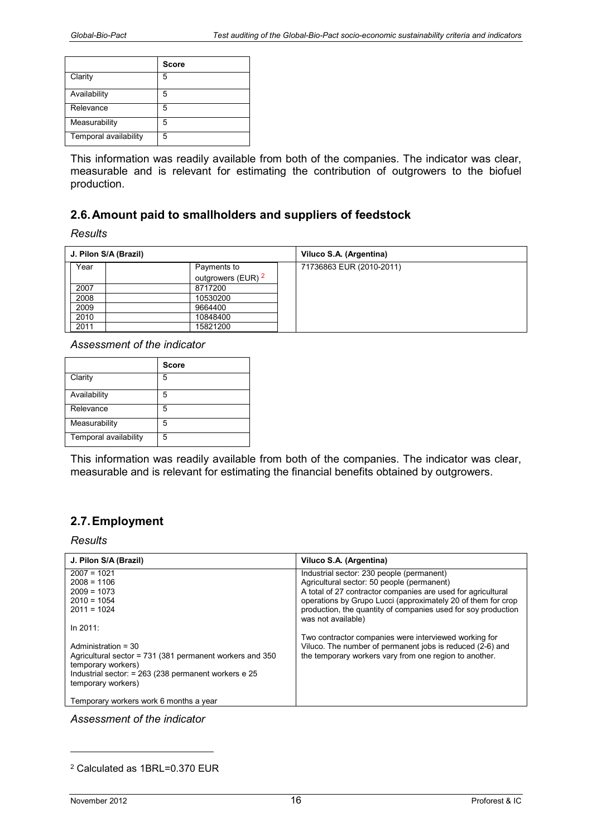|                       | <b>Score</b> |
|-----------------------|--------------|
| Clarity               | 5            |
| Availability          | 5            |
| Relevance             | 5            |
| Measurability         | 5            |
| Temporal availability | 5            |

This information was readily available from both of the companies. The indicator was clear, measurable and is relevant for estimating the contribution of outgrowers to the biofuel production.

### **2.6. Amount paid to smallholders and suppliers of feedstock**

*Results* 

| J. Pilon S/A (Brazil) |                               | Viluco S.A. (Argentina)  |
|-----------------------|-------------------------------|--------------------------|
| Year                  | Payments to                   | 71736863 EUR (2010-2011) |
|                       | outgrowers (EUR) <sup>2</sup> |                          |
| 2007                  | 8717200                       |                          |
| 2008                  | 10530200                      |                          |
| 2009                  | 9664400                       |                          |
| 2010                  | 10848400                      |                          |
| 2011                  | 15821200                      |                          |

*Assessment of the indicator* 

|                       | <b>Score</b> |
|-----------------------|--------------|
| Clarity               | 5            |
| Availability          | 5            |
| Relevance             | 5            |
| Measurability         | 5            |
| Temporal availability | 5            |

This information was readily available from both of the companies. The indicator was clear, measurable and is relevant for estimating the financial benefits obtained by outgrowers.

# **2.7. Employment**

*Results* 

| J. Pilon S/A (Brazil)                                    | Viluco S.A. (Argentina)                                                                                             |
|----------------------------------------------------------|---------------------------------------------------------------------------------------------------------------------|
| $2007 = 1021$                                            | Industrial sector: 230 people (permanent)                                                                           |
| $2008 = 1106$                                            | Agricultural sector: 50 people (permanent)                                                                          |
| $2009 = 1073$                                            | A total of 27 contractor companies are used for agricultural                                                        |
| $2010 = 1054$                                            | operations by Grupo Lucci (approximately 20 of them for crop                                                        |
| $2011 = 1024$                                            | production, the quantity of companies used for soy production                                                       |
|                                                          | was not available)                                                                                                  |
| In $2011$                                                |                                                                                                                     |
|                                                          | Two contractor companies were interviewed working for                                                               |
| Administration = 30                                      |                                                                                                                     |
| Agricultural sector = 731 (381 permanent workers and 350 |                                                                                                                     |
| temporary workers)                                       |                                                                                                                     |
| Industrial sector: $= 263$ (238 permanent workers e 25   |                                                                                                                     |
| temporary workers)                                       |                                                                                                                     |
|                                                          |                                                                                                                     |
| Temporary workers work 6 months a year                   |                                                                                                                     |
|                                                          | Viluco. The number of permanent jobs is reduced (2-6) and<br>the temporary workers vary from one region to another. |

*Assessment of the indicator* 

-

<sup>2</sup> Calculated as 1BRL=0.370 EUR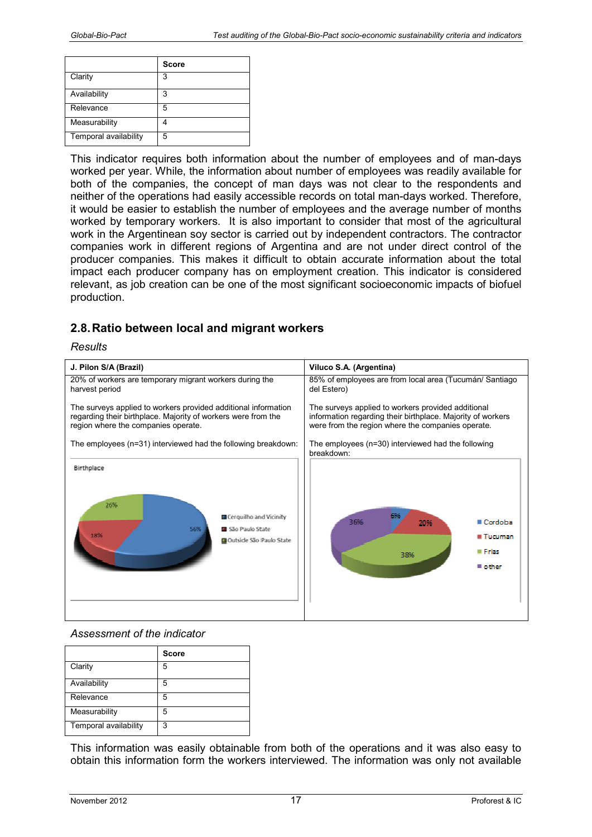|                       | <b>Score</b> |
|-----------------------|--------------|
| Clarity               | 3            |
| Availability          | 3            |
| Relevance             | 5            |
| Measurability         |              |
| Temporal availability | 5            |

This indicator requires both information about the number of employees and of man-days worked per year. While, the information about number of employees was readily available for both of the companies, the concept of man days was not clear to the respondents and neither of the operations had easily accessible records on total man-days worked. Therefore, it would be easier to establish the number of employees and the average number of months worked by temporary workers. It is also important to consider that most of the agricultural work in the Argentinean soy sector is carried out by independent contractors. The contractor companies work in different regions of Argentina and are not under direct control of the producer companies. This makes it difficult to obtain accurate information about the total impact each producer company has on employment creation. This indicator is considered relevant, as job creation can be one of the most significant socioeconomic impacts of biofuel production.

# **2.8. Ratio between local and migrant workers**

*Results* 



#### *Assessment of the indicator*

|                       | <b>Score</b> |
|-----------------------|--------------|
| Clarity               | 5            |
| Availability          | 5            |
| Relevance             | 5            |
| Measurability         | 5            |
| Temporal availability | 3            |

This information was easily obtainable from both of the operations and it was also easy to obtain this information form the workers interviewed. The information was only not available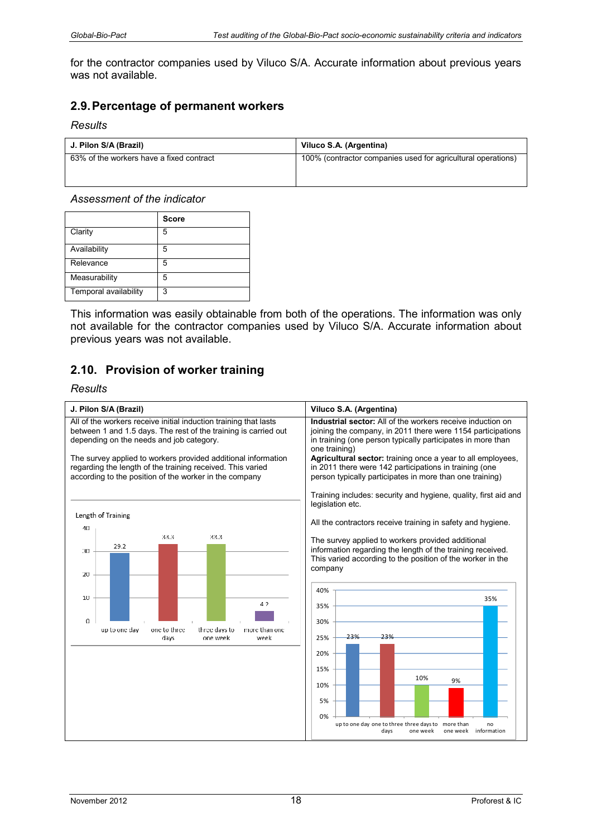for the contractor companies used by Viluco S/A. Accurate information about previous years was not available.

### **2.9. Percentage of permanent workers**

#### *Results*

| J. Pilon S/A (Brazil)                    | Viluco S.A. (Argentina)                                      |
|------------------------------------------|--------------------------------------------------------------|
| 63% of the workers have a fixed contract | 100% (contractor companies used for agricultural operations) |

#### *Assessment of the indicator*

|                       | <b>Score</b> |
|-----------------------|--------------|
| Clarity               | 5            |
| Availability          | 5            |
| Relevance             | 5            |
| Measurability         | 5            |
| Temporal availability | 3            |

This information was easily obtainable from both of the operations. The information was only not available for the contractor companies used by Viluco S/A. Accurate information about previous years was not available.

# **2.10. Provision of worker training**

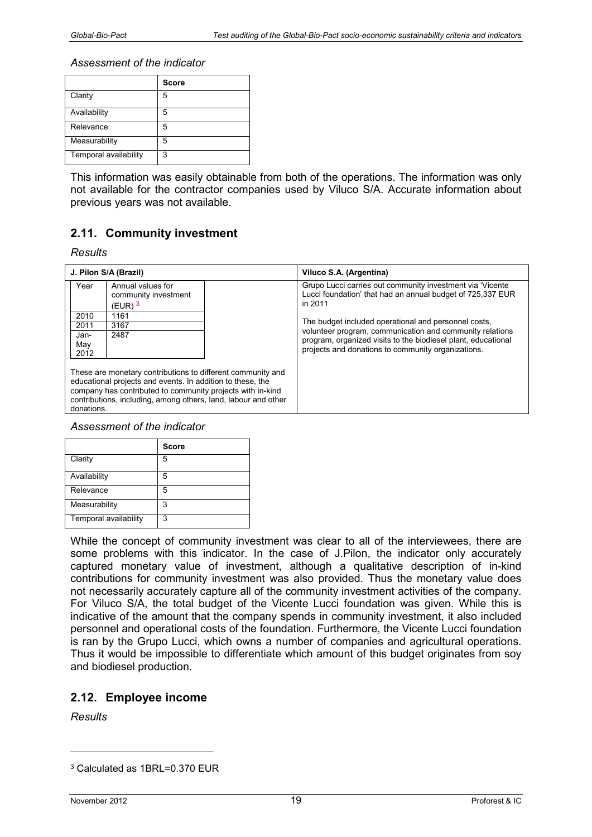|                       | <b>Score</b> |
|-----------------------|--------------|
| Clarity               | 5            |
| Availability          | 5            |
| Relevance             | 5            |
| Measurability         | 5            |
| Temporal availability | 3            |

This information was easily obtainable from both of the operations. The information was only not available for the contractor companies used by Viluco S/A. Accurate information about previous years was not available.

# **2.11. Community investment**

*Results* 

| J. Pilon S/A (Brazil)                                                                                                                                                                                                                                                   |                                                                 |  | Viluco S.A. (Argentina)                                                                                                            |
|-------------------------------------------------------------------------------------------------------------------------------------------------------------------------------------------------------------------------------------------------------------------------|-----------------------------------------------------------------|--|------------------------------------------------------------------------------------------------------------------------------------|
| Year                                                                                                                                                                                                                                                                    | Annual values for<br>community investment<br>(EUR) <sup>3</sup> |  | Grupo Lucci carries out community investment via 'Vicente<br>Lucci foundation' that had an annual budget of 725,337 EUR<br>in 2011 |
| 2010                                                                                                                                                                                                                                                                    | 1161                                                            |  |                                                                                                                                    |
| 2011                                                                                                                                                                                                                                                                    | 3167                                                            |  | The budget included operational and personnel costs,                                                                               |
| Jan-                                                                                                                                                                                                                                                                    | 2487                                                            |  | volunteer program, communication and community relations<br>program, organized visits to the biodiesel plant, educational          |
| May                                                                                                                                                                                                                                                                     |                                                                 |  | projects and donations to community organizations.                                                                                 |
| 2012                                                                                                                                                                                                                                                                    |                                                                 |  |                                                                                                                                    |
| These are monetary contributions to different community and<br>educational projects and events. In addition to these, the<br>company has contributed to community projects with in-kind<br>contributions, including, among others, land, labour and other<br>donations. |                                                                 |  |                                                                                                                                    |

#### *Assessment of the indicator*

|                       | <b>Score</b> |
|-----------------------|--------------|
| Clarity               | 5            |
| Availability          | 5            |
| Relevance             | 5            |
| Measurability         | 3            |
| Temporal availability | 3            |

While the concept of community investment was clear to all of the interviewees, there are some problems with this indicator. In the case of J.Pilon, the indicator only accurately captured monetary value of investment, although a qualitative description of in-kind contributions for community investment was also provided. Thus the monetary value does not necessarily accurately capture all of the community investment activities of the company. For Viluco S/A, the total budget of the Vicente Lucci foundation was given. While this is indicative of the amount that the company spends in community investment, it also included personnel and operational costs of the foundation. Furthermore, the Vicente Lucci foundation is ran by the Grupo Lucci, which owns a number of companies and agricultural operations. Thus it would be impossible to differentiate which amount of this budget originates from soy and biodiesel production.

# **2.12. Employee income**

*Results* 

-

<sup>3</sup> Calculated as 1BRL=0.370 EUR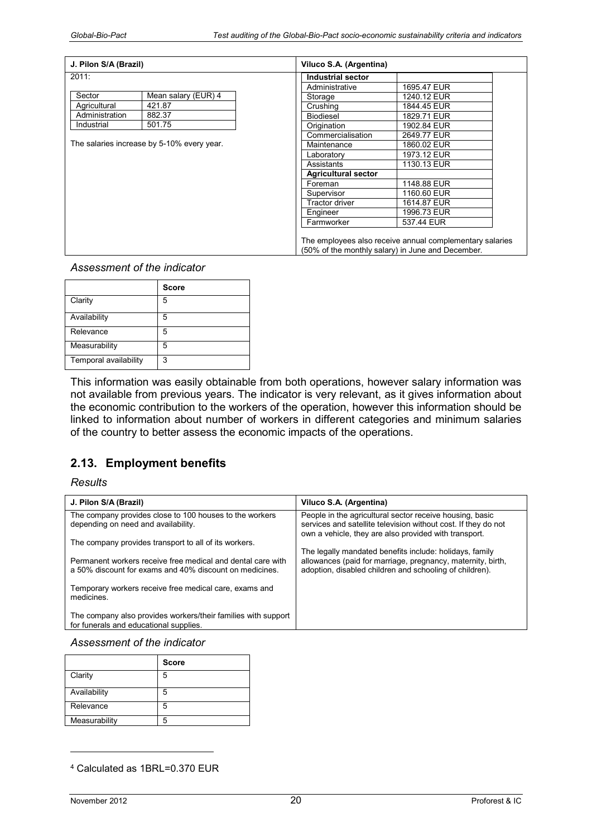| J. Pilon S/A (Brazil) |                                            | Viluco S.A. (Argentina)    |                                                                                                               |  |
|-----------------------|--------------------------------------------|----------------------------|---------------------------------------------------------------------------------------------------------------|--|
| 2011:                 |                                            | Industrial sector          |                                                                                                               |  |
|                       |                                            | Administrative             | 1695.47 EUR                                                                                                   |  |
| Sector                | Mean salary (EUR) 4                        | Storage                    | 1240.12 EUR                                                                                                   |  |
| Agricultural          | 421.87                                     | Crushing                   | 1844.45 EUR                                                                                                   |  |
| Administration        | 882.37                                     | <b>Biodiesel</b>           | 1829.71 EUR                                                                                                   |  |
| Industrial            | 501.75                                     | Origination                | 1902.84 EUR                                                                                                   |  |
|                       |                                            | Commercialisation          | 2649.77 EUR                                                                                                   |  |
|                       | The salaries increase by 5-10% every year. | Maintenance                | 1860.02 EUR                                                                                                   |  |
|                       |                                            | Laboratory                 | 1973.12 EUR                                                                                                   |  |
|                       |                                            | Assistants                 | 1130.13 EUR                                                                                                   |  |
|                       |                                            | <b>Agricultural sector</b> |                                                                                                               |  |
|                       |                                            | Foreman                    | 1148.88 EUR                                                                                                   |  |
|                       |                                            | Supervisor                 | 1160.60 EUR                                                                                                   |  |
|                       |                                            | <b>Tractor driver</b>      | 1614.87 EUR                                                                                                   |  |
|                       |                                            | Engineer                   | 1996.73 EUR                                                                                                   |  |
|                       |                                            | Farmworker                 | 537.44 EUR                                                                                                    |  |
|                       |                                            |                            | The employees also receive annual complementary salaries<br>(50% of the monthly salary) in June and December. |  |

|                       | <b>Score</b> |
|-----------------------|--------------|
| Clarity               | 5            |
| Availability          | 5            |
| Relevance             | 5            |
| Measurability         | 5            |
| Temporal availability | 3            |

This information was easily obtainable from both operations, however salary information was not available from previous years. The indicator is very relevant, as it gives information about the economic contribution to the workers of the operation, however this information should be linked to information about number of workers in different categories and minimum salaries of the country to better assess the economic impacts of the operations.

# **2.13. Employment benefits**

#### *Results*

| J. Pilon S/A (Brazil)                                                                                                  | Viluco S.A. (Argentina)                                                                                                                                                             |
|------------------------------------------------------------------------------------------------------------------------|-------------------------------------------------------------------------------------------------------------------------------------------------------------------------------------|
| The company provides close to 100 houses to the workers<br>depending on need and availability.                         | People in the agricultural sector receive housing, basic<br>services and satellite television without cost. If they do not<br>own a vehicle, they are also provided with transport. |
| The company provides transport to all of its workers.                                                                  |                                                                                                                                                                                     |
| Permanent workers receive free medical and dental care with<br>a 50% discount for exams and 40% discount on medicines. | The legally mandated benefits include: holidays, family<br>allowances (paid for marriage, pregnancy, maternity, birth,<br>adoption, disabled children and schooling of children).   |
| Temporary workers receive free medical care, exams and<br>medicines.                                                   |                                                                                                                                                                                     |
| The company also provides workers/their families with support<br>for funerals and educational supplies.                |                                                                                                                                                                                     |

#### *Assessment of the indicator*

|               | <b>Score</b> |
|---------------|--------------|
| Clarity       | 5            |
| Availability  | 5            |
| Relevance     | 5            |
| Measurability |              |

<sup>4</sup> Calculated as 1BRL=0.370 EUR

-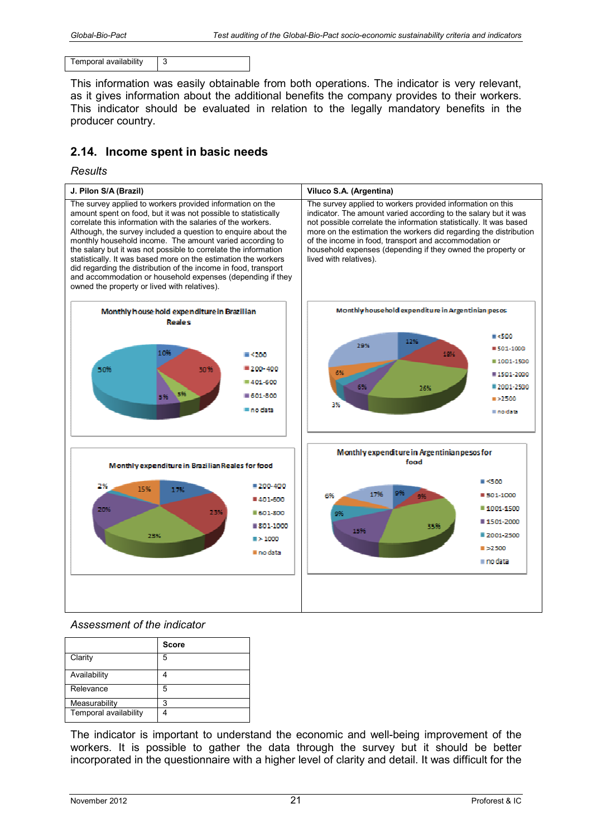Temporal availability 3

This information was easily obtainable from both operations. The indicator is very relevant, as it gives information about the additional benefits the company provides to their workers. This indicator should be evaluated in relation to the legally mandatory benefits in the producer country.

# **2.14. Income spent in basic needs**

#### *Results*



#### *Assessment of the indicator*

|                       | <b>Score</b> |
|-----------------------|--------------|
| Clarity               | 5            |
| Availability          |              |
| Relevance             | 5            |
| Measurability         | 3            |
| Temporal availability |              |

The indicator is important to understand the economic and well-being improvement of the workers. It is possible to gather the data through the survey but it should be better incorporated in the questionnaire with a higher level of clarity and detail. It was difficult for the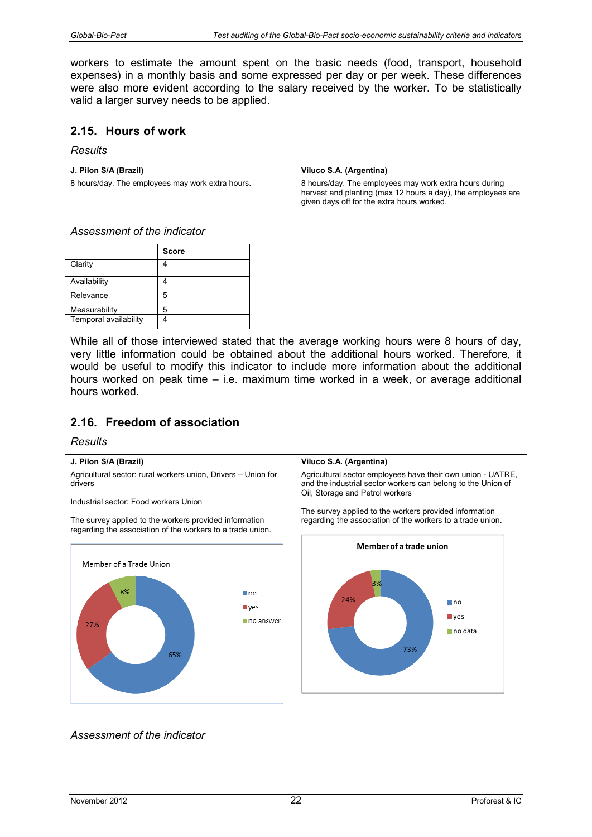workers to estimate the amount spent on the basic needs (food, transport, household expenses) in a monthly basis and some expressed per day or per week. These differences were also more evident according to the salary received by the worker. To be statistically valid a larger survey needs to be applied.

### **2.15. Hours of work**

#### *Results*

| J. Pilon S/A (Brazil)                            | Viluco S.A. (Argentina)                                                                                                                                              |
|--------------------------------------------------|----------------------------------------------------------------------------------------------------------------------------------------------------------------------|
| 8 hours/day. The employees may work extra hours. | 8 hours/day. The employees may work extra hours during<br>harvest and planting (max 12 hours a day), the employees are<br>given days off for the extra hours worked. |

#### *Assessment of the indicator*

|                       | <b>Score</b> |
|-----------------------|--------------|
| Clarity               |              |
| Availability          |              |
| Relevance             | 5            |
| Measurability         | 5            |
| Temporal availability |              |

While all of those interviewed stated that the average working hours were 8 hours of day, very little information could be obtained about the additional hours worked. Therefore, it would be useful to modify this indicator to include more information about the additional hours worked on peak time – i.e. maximum time worked in a week, or average additional hours worked.

# **2.16. Freedom of association**



*Assessment of the indicator*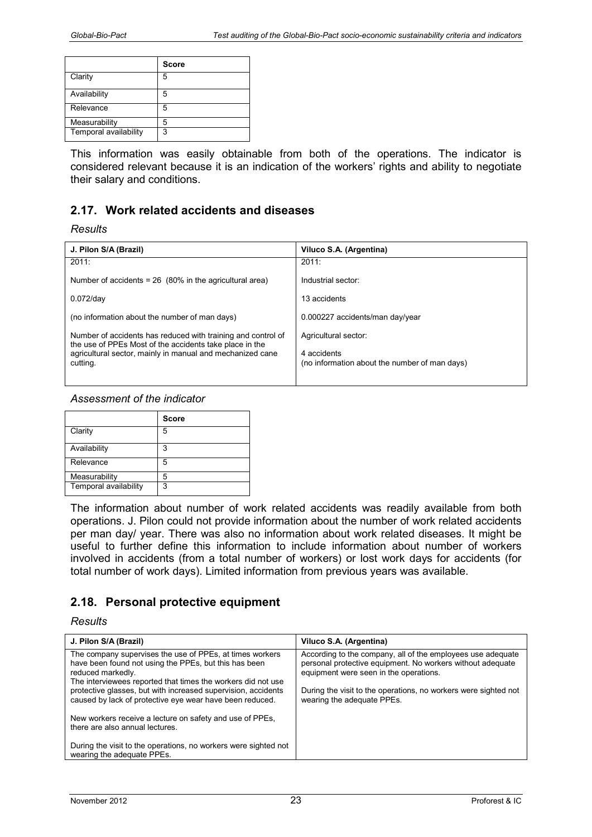|                       | <b>Score</b> |
|-----------------------|--------------|
| Clarity               | 5            |
| Availability          | 5            |
| Relevance             | 5            |
| Measurability         | 5            |
| Temporal availability | 3            |

This information was easily obtainable from both of the operations. The indicator is considered relevant because it is an indication of the workers' rights and ability to negotiate their salary and conditions.

# **2.17. Work related accidents and diseases**

#### *Results*

| J. Pilon S/A (Brazil)                                                                                                   | Viluco S.A. (Argentina)                                      |
|-------------------------------------------------------------------------------------------------------------------------|--------------------------------------------------------------|
| 2011:                                                                                                                   | 2011:                                                        |
| Number of accidents = $26$ (80% in the agricultural area)                                                               | Industrial sector:                                           |
| $0.072$ /day                                                                                                            | 13 accidents                                                 |
| (no information about the number of man days)                                                                           | 0.000227 accidents/man day/year                              |
| Number of accidents has reduced with training and control of<br>the use of PPEs Most of the accidents take place in the | Agricultural sector:                                         |
| agricultural sector, mainly in manual and mechanized cane<br>cutting.                                                   | 4 accidents<br>(no information about the number of man days) |

#### *Assessment of the indicator*

|                       | <b>Score</b> |
|-----------------------|--------------|
| Clarity               | 5            |
| Availability          | 3            |
| Relevance             | 5            |
| Measurability         | 5            |
| Temporal availability | 3            |

The information about number of work related accidents was readily available from both operations. J. Pilon could not provide information about the number of work related accidents per man day/ year. There was also no information about work related diseases. It might be useful to further define this information to include information about number of workers involved in accidents (from a total number of workers) or lost work days for accidents (for total number of work days). Limited information from previous years was available.

# **2.18. Personal protective equipment**

| J. Pilon S/A (Brazil)                                                                                                                                                                                                                                                                                                               | Viluco S.A. (Argentina)                                                                                                                                                                                                                                              |
|-------------------------------------------------------------------------------------------------------------------------------------------------------------------------------------------------------------------------------------------------------------------------------------------------------------------------------------|----------------------------------------------------------------------------------------------------------------------------------------------------------------------------------------------------------------------------------------------------------------------|
| The company supervises the use of PPEs, at times workers<br>have been found not using the PPEs, but this has been<br>reduced markedly.<br>The interviewees reported that times the workers did not use<br>protective glasses, but with increased supervision, accidents<br>caused by lack of protective eye wear have been reduced. | According to the company, all of the employees use adequate<br>personal protective equipment. No workers without adequate<br>equipment were seen in the operations.<br>During the visit to the operations, no workers were sighted not<br>wearing the adequate PPEs. |
| New workers receive a lecture on safety and use of PPEs.<br>there are also annual lectures.                                                                                                                                                                                                                                         |                                                                                                                                                                                                                                                                      |
| During the visit to the operations, no workers were sighted not<br>wearing the adequate PPEs.                                                                                                                                                                                                                                       |                                                                                                                                                                                                                                                                      |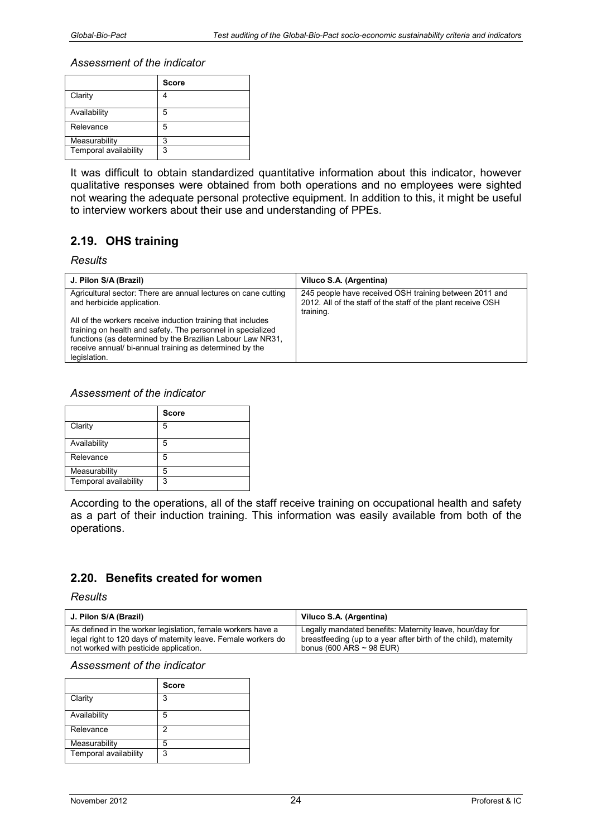|                       | <b>Score</b> |
|-----------------------|--------------|
| Clarity               |              |
| Availability          | 5            |
| Relevance             | 5            |
| Measurability         | 3            |
| Temporal availability | 3            |

It was difficult to obtain standardized quantitative information about this indicator, however qualitative responses were obtained from both operations and no employees were sighted not wearing the adequate personal protective equipment. In addition to this, it might be useful to interview workers about their use and understanding of PPEs.

# **2.19. OHS training**

#### *Results*

| J. Pilon S/A (Brazil)                                                                                                                                                                                                                                              | Viluco S.A. (Argentina)                                                                                                             |
|--------------------------------------------------------------------------------------------------------------------------------------------------------------------------------------------------------------------------------------------------------------------|-------------------------------------------------------------------------------------------------------------------------------------|
| Agricultural sector: There are annual lectures on cane cutting<br>and herbicide application.                                                                                                                                                                       | 245 people have received OSH training between 2011 and<br>2012. All of the staff of the staff of the plant receive OSH<br>training. |
| All of the workers receive induction training that includes<br>training on health and safety. The personnel in specialized<br>functions (as determined by the Brazilian Labour Law NR31,<br>receive annual/bi-annual training as determined by the<br>legislation. |                                                                                                                                     |

#### *Assessment of the indicator*

|                       | <b>Score</b> |
|-----------------------|--------------|
| Clarity               | 5            |
| Availability          | 5            |
| Relevance             | 5            |
| Measurability         | ц            |
| Temporal availability | 3            |

According to the operations, all of the staff receive training on occupational health and safety as a part of their induction training. This information was easily available from both of the operations.

# **2.20. Benefits created for women**

*Results* 

| J. Pilon S/A (Brazil)                                         | Viluco S.A. (Argentina)                                          |
|---------------------------------------------------------------|------------------------------------------------------------------|
| As defined in the worker legislation, female workers have a   | Legally mandated benefits: Maternity leave, hour/day for         |
| legal right to 120 days of maternity leave. Female workers do | breastfeeding (up to a year after birth of the child), maternity |
| not worked with pesticide application.                        | bonus (600 ARS $\sim$ 98 EUR)                                    |

|                       | <b>Score</b> |
|-----------------------|--------------|
| Clarity               | 3            |
| Availability          | 5            |
| Relevance             | 2            |
| Measurability         | 5            |
| Temporal availability | 3            |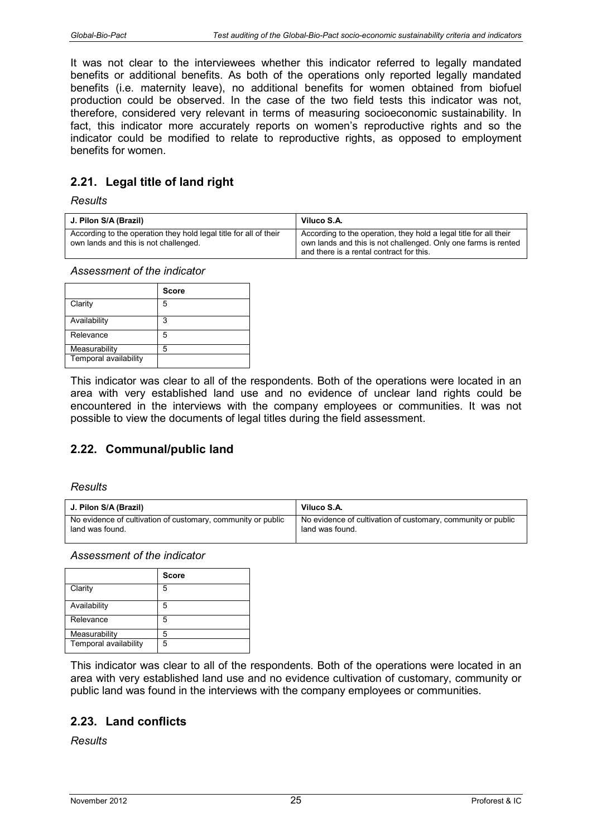It was not clear to the interviewees whether this indicator referred to legally mandated benefits or additional benefits. As both of the operations only reported legally mandated benefits (i.e. maternity leave), no additional benefits for women obtained from biofuel production could be observed. In the case of the two field tests this indicator was not, therefore, considered very relevant in terms of measuring socioeconomic sustainability. In fact, this indicator more accurately reports on women's reproductive rights and so the indicator could be modified to relate to reproductive rights, as opposed to employment benefits for women.

# **2.21. Legal title of land right**

#### *Results*

| J. Pilon S/A (Brazil)                                                                                      | Viluco S.A.                                                                                                                                                                     |
|------------------------------------------------------------------------------------------------------------|---------------------------------------------------------------------------------------------------------------------------------------------------------------------------------|
| According to the operation they hold legal title for all of their<br>own lands and this is not challenged. | According to the operation, they hold a legal title for all their<br>own lands and this is not challenged. Only one farms is rented<br>and there is a rental contract for this. |

*Assessment of the indicator* 

|                       | <b>Score</b> |
|-----------------------|--------------|
| Clarity               | 5            |
| Availability          | 3            |
| Relevance             | 5            |
| Measurability         | 5            |
| Temporal availability |              |

This indicator was clear to all of the respondents. Both of the operations were located in an area with very established land use and no evidence of unclear land rights could be encountered in the interviews with the company employees or communities. It was not possible to view the documents of legal titles during the field assessment.

# **2.22. Communal/public land**

#### *Results*

| J. Pilon S/A (Brazil)                                        | Viluco S.A.                                                  |
|--------------------------------------------------------------|--------------------------------------------------------------|
| No evidence of cultivation of customary, community or public | No evidence of cultivation of customary, community or public |
| land was found.                                              | land was found.                                              |

*Assessment of the indicator* 

|                       | <b>Score</b> |
|-----------------------|--------------|
| Clarity               | 5            |
| Availability          | 5            |
| Relevance             | 5            |
| Measurability         | 5            |
| Temporal availability | 5            |

This indicator was clear to all of the respondents. Both of the operations were located in an area with very established land use and no evidence cultivation of customary, community or public land was found in the interviews with the company employees or communities.

# **2.23. Land conflicts**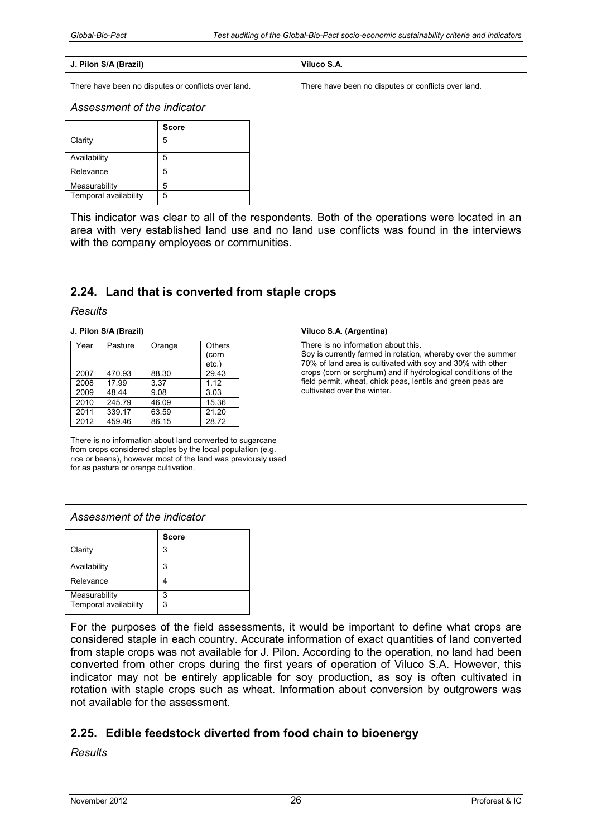| J. Pilon S/A (Brazil)                               | Viluco S.A.                                         |
|-----------------------------------------------------|-----------------------------------------------------|
| There have been no disputes or conflicts over land. | There have been no disputes or conflicts over land. |

|                       | <b>Score</b> |
|-----------------------|--------------|
| Clarity               | 5            |
| Availability          | 5            |
| Relevance             | 5            |
| Measurability         | 5            |
| Temporal availability | 5            |

This indicator was clear to all of the respondents. Both of the operations were located in an area with very established land use and no land use conflicts was found in the interviews with the company employees or communities.

# **2.24. Land that is converted from staple crops**

*Results* 

|      | J. Pilon S/A (Brazil) |                                                                                                                                                                                                                                   |                                    | Viluco S.A. (Argentina)                                                                                                                                           |
|------|-----------------------|-----------------------------------------------------------------------------------------------------------------------------------------------------------------------------------------------------------------------------------|------------------------------------|-------------------------------------------------------------------------------------------------------------------------------------------------------------------|
| Year | Pasture               | Orange                                                                                                                                                                                                                            | <b>Others</b><br>(corn<br>$etc.$ ) | There is no information about this.<br>Soy is currently farmed in rotation, whereby over the summer<br>70% of land area is cultivated with soy and 30% with other |
| 2007 | 470.93                | 88.30                                                                                                                                                                                                                             | 29.43                              | crops (corn or sorghum) and if hydrological conditions of the                                                                                                     |
| 2008 | 17.99                 | 3.37                                                                                                                                                                                                                              | 1.12                               | field permit, wheat, chick peas, lentils and green peas are                                                                                                       |
| 2009 | 48.44                 | 9.08                                                                                                                                                                                                                              | 3.03                               | cultivated over the winter.                                                                                                                                       |
| 2010 | 245.79                | 46.09                                                                                                                                                                                                                             | 15.36                              |                                                                                                                                                                   |
| 2011 | 339.17                | 63.59                                                                                                                                                                                                                             | 21.20                              |                                                                                                                                                                   |
| 2012 | 459.46                | 86.15                                                                                                                                                                                                                             | 28.72                              |                                                                                                                                                                   |
|      |                       | There is no information about land converted to sugarcane<br>from crops considered staples by the local population (e.g.<br>rice or beans), however most of the land was previously used<br>for as pasture or orange cultivation. |                                    |                                                                                                                                                                   |

#### *Assessment of the indicator*

|                       | <b>Score</b> |
|-----------------------|--------------|
| Clarity               | 3            |
| Availability          | 3            |
| Relevance             |              |
| Measurability         | 3            |
| Temporal availability | 3            |

For the purposes of the field assessments, it would be important to define what crops are considered staple in each country. Accurate information of exact quantities of land converted from staple crops was not available for J. Pilon. According to the operation, no land had been converted from other crops during the first years of operation of Viluco S.A. However, this indicator may not be entirely applicable for soy production, as soy is often cultivated in rotation with staple crops such as wheat. Information about conversion by outgrowers was not available for the assessment.

# **2.25. Edible feedstock diverted from food chain to bioenergy**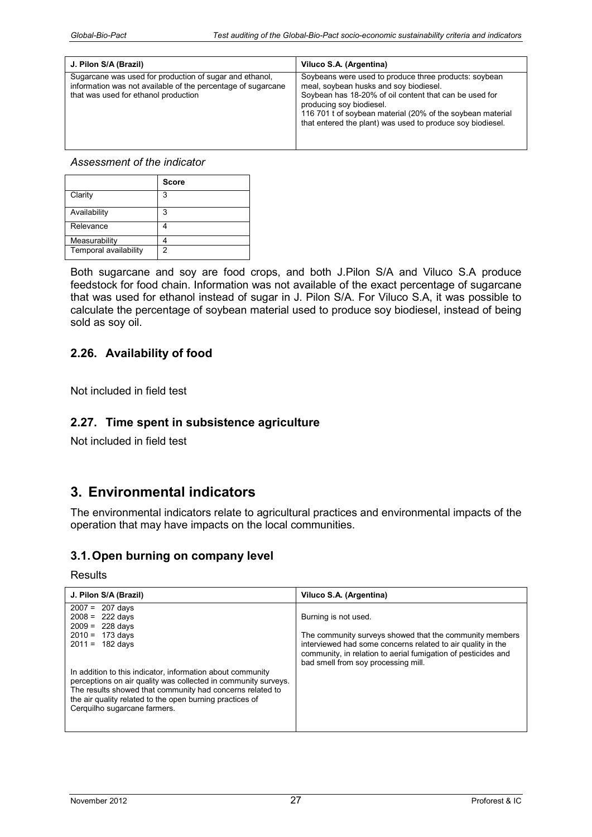| J. Pilon S/A (Brazil)                                                                                                                                           | Viluco S.A. (Argentina)                                                                                                                                                                                                                                                                                           |
|-----------------------------------------------------------------------------------------------------------------------------------------------------------------|-------------------------------------------------------------------------------------------------------------------------------------------------------------------------------------------------------------------------------------------------------------------------------------------------------------------|
| Sugarcane was used for production of sugar and ethanol,<br>information was not available of the percentage of sugarcane<br>that was used for ethanol production | Soybeans were used to produce three products: soybean<br>meal, sovbean husks and soy biodiesel.<br>Soybean has 18-20% of oil content that can be used for<br>producing soy biodiesel.<br>116 701 t of soybean material (20% of the soybean material<br>that entered the plant) was used to produce soy biodiesel. |

|                       | <b>Score</b> |
|-----------------------|--------------|
| Clarity               | 3            |
| Availability          | 3            |
| Relevance             |              |
| Measurability         |              |
| Temporal availability | 2            |

Both sugarcane and soy are food crops, and both J.Pilon S/A and Viluco S.A produce feedstock for food chain. Information was not available of the exact percentage of sugarcane that was used for ethanol instead of sugar in J. Pilon S/A. For Viluco S.A, it was possible to calculate the percentage of soybean material used to produce soy biodiesel, instead of being sold as soy oil.

# **2.26. Availability of food**

Not included in field test

# **2.27. Time spent in subsistence agriculture**

Not included in field test

# **3. Environmental indicators**

The environmental indicators relate to agricultural practices and environmental impacts of the operation that may have impacts on the local communities.

# **3.1. Open burning on company level**

| J. Pilon S/A (Brazil)                                                                                                                                                                                                                                                                                                                                                                                   | Viluco S.A. (Argentina)                                                                                                                                                                                                                                |
|---------------------------------------------------------------------------------------------------------------------------------------------------------------------------------------------------------------------------------------------------------------------------------------------------------------------------------------------------------------------------------------------------------|--------------------------------------------------------------------------------------------------------------------------------------------------------------------------------------------------------------------------------------------------------|
| $2007 =$<br>207 days<br>222 davs<br>$2008 =$<br>$2009 =$<br>228 days<br>$2010 = 173$ days<br>$2011 = 182$ days<br>In addition to this indicator, information about community<br>perceptions on air quality was collected in community surveys.<br>The results showed that community had concerns related to<br>the air quality related to the open burning practices of<br>Cerquilho sugarcane farmers. | Burning is not used.<br>The community surveys showed that the community members<br>interviewed had some concerns related to air quality in the<br>community, in relation to aerial fumigation of pesticides and<br>bad smell from soy processing mill. |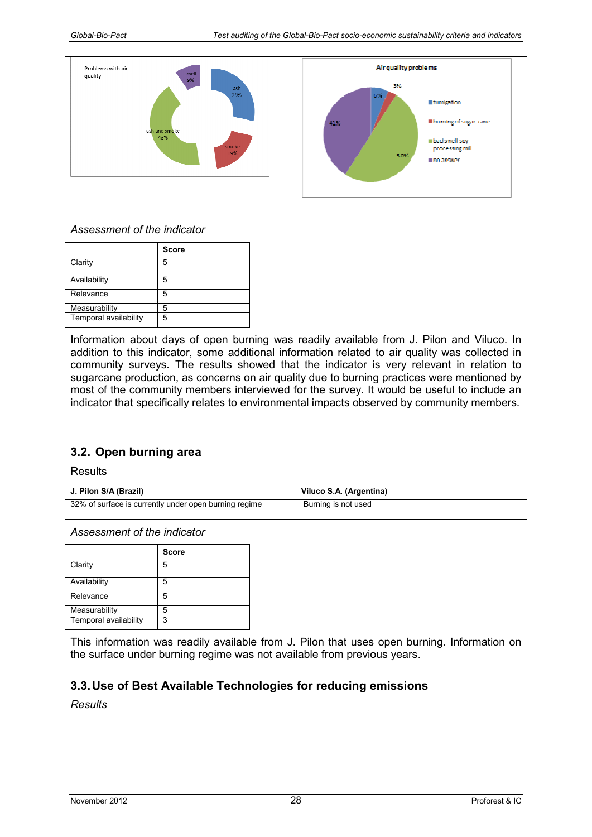

|                       | <b>Score</b> |
|-----------------------|--------------|
| Clarity               | 5            |
| Availability          | 5            |
| Relevance             | 5            |
| Measurability         | 5            |
| Temporal availability | 5            |

Information about days of open burning was readily available from J. Pilon and Viluco. In addition to this indicator, some additional information related to air quality was collected in community surveys. The results showed that the indicator is very relevant in relation to sugarcane production, as concerns on air quality due to burning practices were mentioned by most of the community members interviewed for the survey. It would be useful to include an indicator that specifically relates to environmental impacts observed by community members.

# **3.2. Open burning area**

**Results** 

| J. Pilon S/A (Brazil)                                 | Viluco S.A. (Argentina) |
|-------------------------------------------------------|-------------------------|
| 32% of surface is currently under open burning regime | Burning is not used     |

*Assessment of the indicator* 

|                       | <b>Score</b> |
|-----------------------|--------------|
| Clarity               | 5            |
| Availability          | 5            |
| Relevance             | 5            |
| Measurability         | 5            |
| Temporal availability | 3            |

This information was readily available from J. Pilon that uses open burning. Information on the surface under burning regime was not available from previous years.

# **3.3. Use of Best Available Technologies for reducing emissions**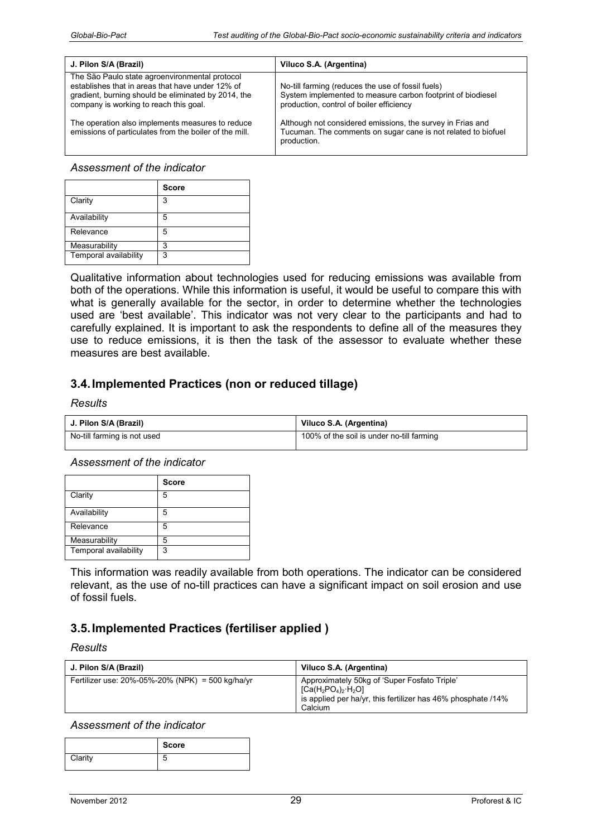| J. Pilon S/A (Brazil)                                                                                                                                                                               | Viluco S.A. (Argentina)                                                                                                                                      |
|-----------------------------------------------------------------------------------------------------------------------------------------------------------------------------------------------------|--------------------------------------------------------------------------------------------------------------------------------------------------------------|
| The São Paulo state agroenvironmental protocol<br>establishes that in areas that have under 12% of<br>gradient, burning should be eliminated by 2014, the<br>company is working to reach this goal. | No-till farming (reduces the use of fossil fuels)<br>System implemented to measure carbon footprint of biodiesel<br>production, control of boiler efficiency |
| The operation also implements measures to reduce<br>emissions of particulates from the boiler of the mill.                                                                                          | Although not considered emissions, the survey in Frias and<br>Tucuman. The comments on sugar cane is not related to biofuel<br>production.                   |

|                       | <b>Score</b> |
|-----------------------|--------------|
| Clarity               | 3            |
| Availability          | 5            |
| Relevance             | 5            |
| Measurability         | ว            |
| Temporal availability | 3            |

Qualitative information about technologies used for reducing emissions was available from both of the operations. While this information is useful, it would be useful to compare this with what is generally available for the sector, in order to determine whether the technologies used are 'best available'. This indicator was not very clear to the participants and had to carefully explained. It is important to ask the respondents to define all of the measures they use to reduce emissions, it is then the task of the assessor to evaluate whether these measures are best available.

# **3.4. Implemented Practices (non or reduced tillage)**

#### *Results*

| J. Pilon S/A (Brazil)       | Viluco S.A. (Argentina)                   |
|-----------------------------|-------------------------------------------|
| No-till farming is not used | 100% of the soil is under no-till farming |

*Assessment of the indicator* 

|                       | <b>Score</b> |
|-----------------------|--------------|
| Clarity               | 5            |
| Availability          | 5            |
| Relevance             | 5            |
| Measurability         | 5            |
| Temporal availability | 3            |

This information was readily available from both operations. The indicator can be considered relevant, as the use of no-till practices can have a significant impact on soil erosion and use of fossil fuels.

# **3.5. Implemented Practices (fertiliser applied )**

#### *Results*

| J. Pilon S/A (Brazil)                                   | Viluco S.A. (Argentina)                                                                                                                                 |
|---------------------------------------------------------|---------------------------------------------------------------------------------------------------------------------------------------------------------|
| Fertilizer use: $20\% -05\% -20\%$ (NPK) = 500 kg/ha/yr | Approximately 50kg of 'Super Fosfato Triple'<br>$[Ca(H_2PO_4)_2 \cdot H_2O]$<br>is applied per ha/yr, this fertilizer has 46% phosphate /14%<br>Calcium |

|         | Score |
|---------|-------|
| Clarity | ×.    |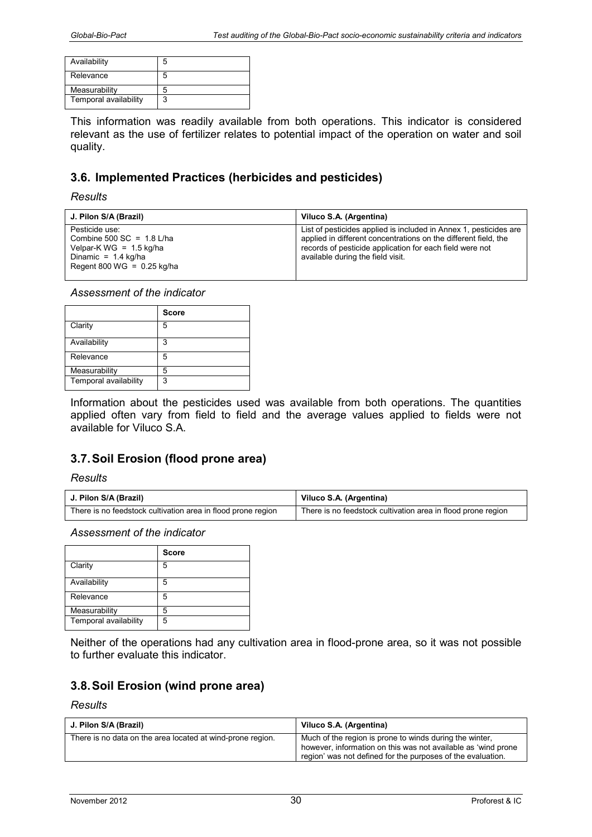| Availability          | 5 |
|-----------------------|---|
| Relevance             | 5 |
| Measurability         |   |
| Temporal availability |   |

This information was readily available from both operations. This indicator is considered relevant as the use of fertilizer relates to potential impact of the operation on water and soil quality.

# **3.6. Implemented Practices (herbicides and pesticides)**

#### *Results*

| J. Pilon S/A (Brazil)                                                                                                               | Viluco S.A. (Argentina)                                                                                                                                                                                                               |
|-------------------------------------------------------------------------------------------------------------------------------------|---------------------------------------------------------------------------------------------------------------------------------------------------------------------------------------------------------------------------------------|
| Pesticide use:<br>Combine 500 SC = $1.8$ L/ha<br>Velpar-K WG = $1.5$ kg/ha<br>Dinamic = $1.4$ kg/ha<br>Regent 800 WG = $0.25$ kg/ha | List of pesticides applied is included in Annex 1, pesticides are<br>applied in different concentrations on the different field, the<br>records of pesticide application for each field were not<br>available during the field visit. |

*Assessment of the indicator* 

|                       | <b>Score</b> |
|-----------------------|--------------|
| Clarity               | 5            |
| Availability          | 3            |
| Relevance             | 5            |
| Measurability         | 5            |
| Temporal availability | 3            |

Information about the pesticides used was available from both operations. The quantities applied often vary from field to field and the average values applied to fields were not available for Viluco S.A.

# **3.7. Soil Erosion (flood prone area)**

#### *Results*

| J. Pilon S/A (Brazil)                                        | Viluco S.A. (Argentina)                                      |
|--------------------------------------------------------------|--------------------------------------------------------------|
| There is no feedstock cultivation area in flood prone region | There is no feedstock cultivation area in flood prone region |

*Assessment of the indicator* 

|                       | <b>Score</b> |
|-----------------------|--------------|
| Clarity               | 5            |
| Availability          | 5            |
| Relevance             | 5            |
| Measurability         | 5            |
| Temporal availability | 5            |

Neither of the operations had any cultivation area in flood-prone area, so it was not possible to further evaluate this indicator.

# **3.8. Soil Erosion (wind prone area)**

| J. Pilon S/A (Brazil)                                      | Viluco S.A. (Argentina)                                                                                                                                                                 |
|------------------------------------------------------------|-----------------------------------------------------------------------------------------------------------------------------------------------------------------------------------------|
| There is no data on the area located at wind-prone region. | Much of the region is prone to winds during the winter,<br>however, information on this was not available as 'wind prone<br>region' was not defined for the purposes of the evaluation. |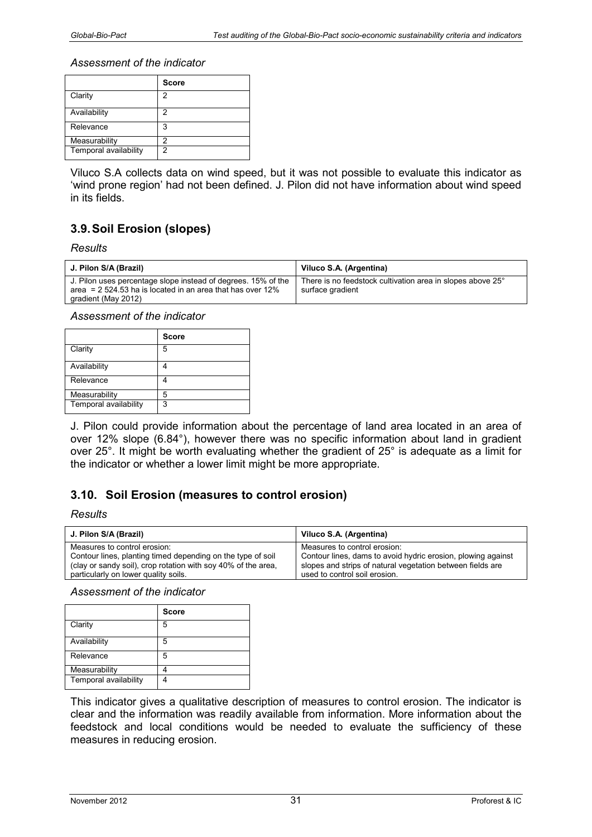|                       | <b>Score</b> |
|-----------------------|--------------|
| Clarity               | 2            |
| Availability          | 2            |
| Relevance             | 3            |
| Measurability         | 2            |
| Temporal availability | 2            |

Viluco S.A collects data on wind speed, but it was not possible to evaluate this indicator as 'wind prone region' had not been defined. J. Pilon did not have information about wind speed in its fields.

# **3.9. Soil Erosion (slopes)**

#### *Results*

| J. Pilon S/A (Brazil)                                                                                                          | Viluco S.A. (Argentina)                                                        |
|--------------------------------------------------------------------------------------------------------------------------------|--------------------------------------------------------------------------------|
| J. Pilon uses percentage slope instead of degrees. 15% of the<br>area = $2\,524.53$ ha is located in an area that has over 12% | There is no feedstock cultivation area in slopes above 25°<br>surface gradient |
| gradient (May 2012)                                                                                                            |                                                                                |

#### *Assessment of the indicator*

|                       | <b>Score</b> |
|-----------------------|--------------|
| Clarity               | 5            |
| Availability          |              |
| Relevance             |              |
| Measurability         | 5            |
| Temporal availability | 3            |

J. Pilon could provide information about the percentage of land area located in an area of over 12% slope (6.84°), however there was no specific information about land in gradient over 25°. It might be worth evaluating whether the gradient of 25° is adequate as a limit for the indicator or whether a lower limit might be more appropriate.

# **3.10. Soil Erosion (measures to control erosion)**

#### *Results*

| J. Pilon S/A (Brazil)                                         | Viluco S.A. (Argentina)                                      |
|---------------------------------------------------------------|--------------------------------------------------------------|
| Measures to control erosion:                                  | Measures to control erosion:                                 |
| Contour lines, planting timed depending on the type of soil   | Contour lines, dams to avoid hydric erosion, plowing against |
| (clay or sandy soil), crop rotation with soy 40% of the area, | slopes and strips of natural vegetation between fields are   |
| particularly on lower quality soils.                          | used to control soil erosion.                                |

*Assessment of the indicator* 

|                       | <b>Score</b> |
|-----------------------|--------------|
| Clarity               | 5            |
| Availability          | 5            |
| Relevance             | 5            |
| Measurability         |              |
| Temporal availability |              |

This indicator gives a qualitative description of measures to control erosion. The indicator is clear and the information was readily available from information. More information about the feedstock and local conditions would be needed to evaluate the sufficiency of these measures in reducing erosion.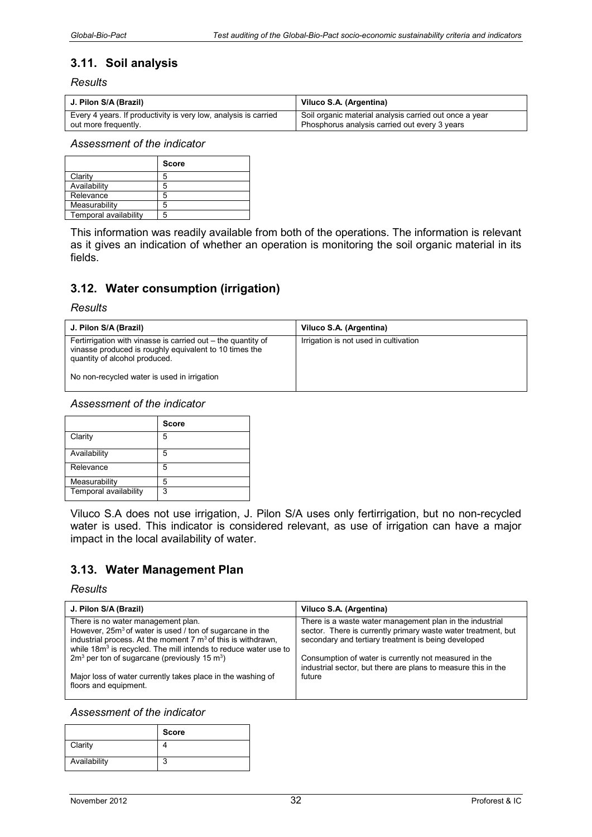# **3.11. Soil analysis**

#### *Results*

| J. Pilon S/A (Brazil)                                           | Viluco S.A. (Argentina)                                |
|-----------------------------------------------------------------|--------------------------------------------------------|
| Every 4 years. If productivity is very low, analysis is carried | Soil organic material analysis carried out once a year |
| out more frequently.                                            | Phosphorus analysis carried out every 3 years          |

#### *Assessment of the indicator*

|                       | <b>Score</b> |
|-----------------------|--------------|
| Clarity               |              |
| Availability          |              |
| Relevance             |              |
| Measurability         |              |
| Temporal availability |              |

This information was readily available from both of the operations. The information is relevant as it gives an indication of whether an operation is monitoring the soil organic material in its fields.

# **3.12. Water consumption (irrigation)**

#### *Results*

| J. Pilon S/A (Brazil)                                                                                                                                   | Viluco S.A. (Argentina)               |
|---------------------------------------------------------------------------------------------------------------------------------------------------------|---------------------------------------|
| Fertirrigation with vinasse is carried out – the quantity of<br>vinasse produced is roughly equivalent to 10 times the<br>quantity of alcohol produced. | Irrigation is not used in cultivation |
| No non-recycled water is used in irrigation                                                                                                             |                                       |

#### *Assessment of the indicator*

|                       | <b>Score</b> |
|-----------------------|--------------|
| Clarity               | 5            |
| Availability          | 5            |
| Relevance             | 5            |
| Measurability         | 5            |
| Temporal availability | 3            |

Viluco S.A does not use irrigation, J. Pilon S/A uses only fertirrigation, but no non-recycled water is used. This indicator is considered relevant, as use of irrigation can have a major impact in the local availability of water.

# **3.13. Water Management Plan**

#### *Results*

| J. Pilon S/A (Brazil)                                                                                                                                  | Viluco S.A. (Argentina)                                                                                                |
|--------------------------------------------------------------------------------------------------------------------------------------------------------|------------------------------------------------------------------------------------------------------------------------|
| There is no water management plan.                                                                                                                     | There is a waste water management plan in the industrial                                                               |
| However, 25m <sup>3</sup> of water is used / ton of sugarcane in the                                                                                   | sector. There is currently primary waste water treatment, but                                                          |
| industrial process. At the moment $7 \text{ m}^3$ of this is withdrawn,<br>while 18m <sup>3</sup> is recycled. The mill intends to reduce water use to | secondary and tertiary treatment is being developed                                                                    |
| $2m3$ per ton of sugarcane (previously 15 m <sup>3</sup> )                                                                                             | Consumption of water is currently not measured in the<br>industrial sector, but there are plans to measure this in the |
| Major loss of water currently takes place in the washing of<br>floors and equipment.                                                                   | future                                                                                                                 |

|              | <b>Score</b> |
|--------------|--------------|
| Clarity      |              |
| Availability | ◠            |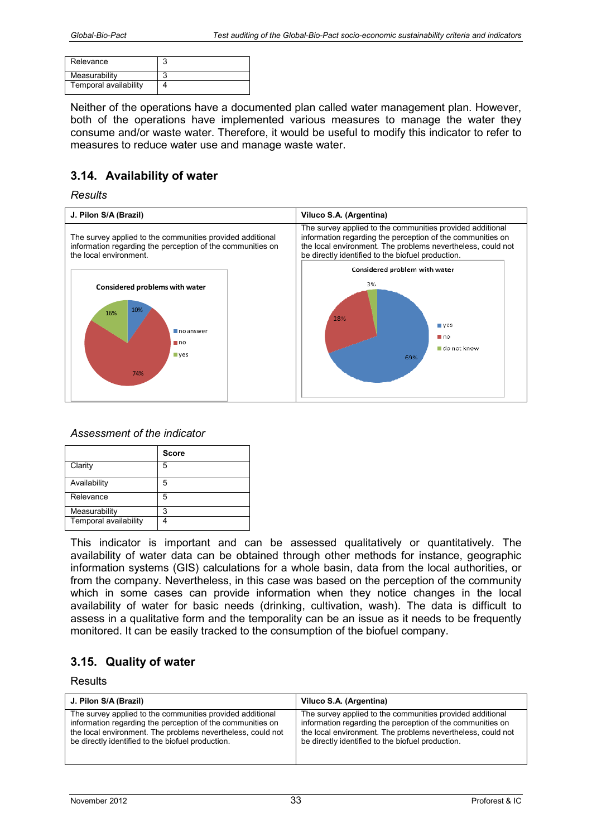| Relevance             |  |
|-----------------------|--|
| Measurability         |  |
| Temporal availability |  |

Neither of the operations have a documented plan called water management plan. However, both of the operations have implemented various measures to manage the water they consume and/or waste water. Therefore, it would be useful to modify this indicator to refer to measures to reduce water use and manage waste water.

# **3.14. Availability of water**

#### *Results*



### *Assessment of the indicator*

|                       | <b>Score</b> |
|-----------------------|--------------|
| Clarity               | 5            |
| Availability          | 5            |
| Relevance             | 5            |
| Measurability         | 3            |
| Temporal availability |              |

This indicator is important and can be assessed qualitatively or quantitatively. The availability of water data can be obtained through other methods for instance, geographic information systems (GIS) calculations for a whole basin, data from the local authorities, or from the company. Nevertheless, in this case was based on the perception of the community which in some cases can provide information when they notice changes in the local availability of water for basic needs (drinking, cultivation, wash). The data is difficult to assess in a qualitative form and the temporality can be an issue as it needs to be frequently monitored. It can be easily tracked to the consumption of the biofuel company.

# **3.15. Quality of water**

| J. Pilon S/A (Brazil)                                       | Viluco S.A. (Argentina)                                     |
|-------------------------------------------------------------|-------------------------------------------------------------|
| The survey applied to the communities provided additional   | The survey applied to the communities provided additional   |
| information regarding the perception of the communities on  | information regarding the perception of the communities on  |
| the local environment. The problems nevertheless, could not | the local environment. The problems nevertheless, could not |
| be directly identified to the biofuel production.           | be directly identified to the biofuel production.           |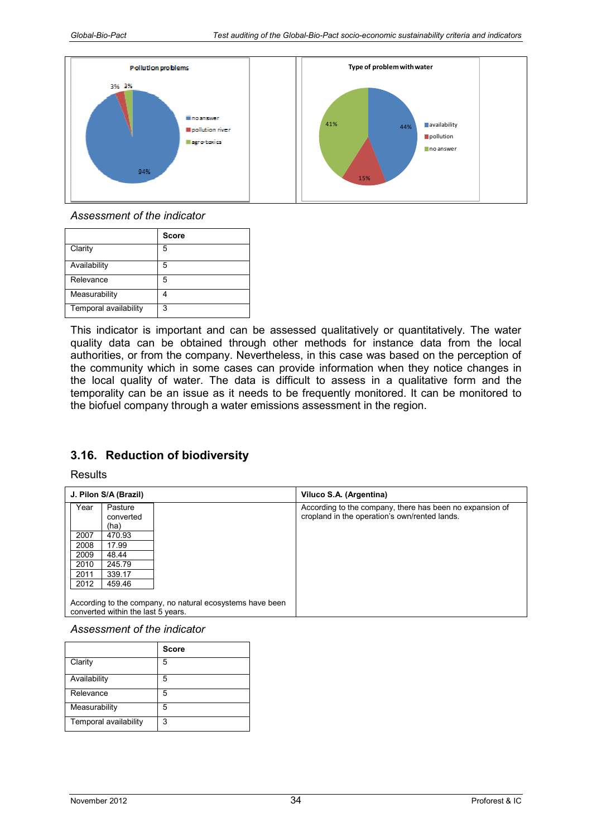

|                       | <b>Score</b> |
|-----------------------|--------------|
| Clarity               | 5            |
| Availability          | 5            |
| Relevance             | 5            |
| Measurability         |              |
| Temporal availability | 3            |

This indicator is important and can be assessed qualitatively or quantitatively. The water quality data can be obtained through other methods for instance data from the local authorities, or from the company. Nevertheless, in this case was based on the perception of the community which in some cases can provide information when they notice changes in the local quality of water. The data is difficult to assess in a qualitative form and the temporality can be an issue as it needs to be frequently monitored. It can be monitored to the biofuel company through a water emissions assessment in the region.

# **3.16. Reduction of biodiversity**

**Results** 

|      | J. Pilon S/A (Brazil)              |                                                           | Viluco S.A. (Argentina)                                                                                   |
|------|------------------------------------|-----------------------------------------------------------|-----------------------------------------------------------------------------------------------------------|
| Year | Pasture<br>converted               |                                                           | According to the company, there has been no expansion of<br>cropland in the operation's own/rented lands. |
|      | (ha)                               |                                                           |                                                                                                           |
| 2007 | 470.93                             |                                                           |                                                                                                           |
| 2008 | 17.99                              |                                                           |                                                                                                           |
| 2009 | 48.44                              |                                                           |                                                                                                           |
| 2010 | 245.79                             |                                                           |                                                                                                           |
| 2011 | 339.17                             |                                                           |                                                                                                           |
| 2012 | 459.46                             |                                                           |                                                                                                           |
|      |                                    |                                                           |                                                                                                           |
|      | converted within the last 5 years. | According to the company, no natural ecosystems have been |                                                                                                           |

|                       | <b>Score</b> |
|-----------------------|--------------|
| Clarity               | 5            |
| Availability          | 5            |
| Relevance             | 5            |
| Measurability         | 5            |
| Temporal availability | 3            |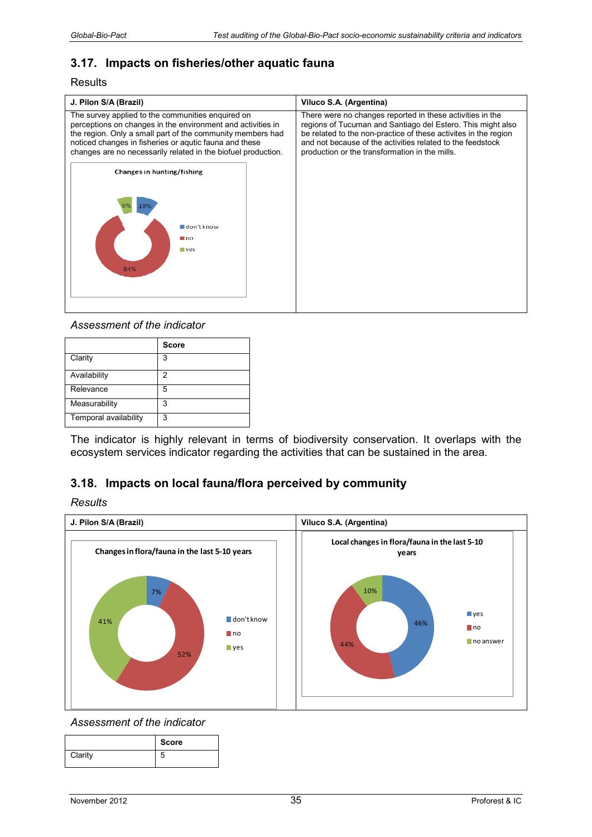# **3.17. Impacts on fisheries/other aquatic fauna**

**Results** 

| J. Pilon S/A (Brazil)                                                                                                                                                                                                                                                                                     | Viluco S.A. (Argentina)                                                                                                                                                                                                                                                                                     |
|-----------------------------------------------------------------------------------------------------------------------------------------------------------------------------------------------------------------------------------------------------------------------------------------------------------|-------------------------------------------------------------------------------------------------------------------------------------------------------------------------------------------------------------------------------------------------------------------------------------------------------------|
| The survey applied to the communities enquired on<br>perceptions on changes in the environment and activities in<br>the region. Only a small part of the community members had<br>noticed changes in fisheries or aqutic fauna and these<br>changes are no necessarily related in the biofuel production. | There were no changes reported in these activities in the<br>regions of Tucuman and Santiago del Estero. This might also<br>be related to the non-practice of these activites in the region<br>and not because of the activities related to the feedstock<br>production or the transformation in the mills. |
| Changes in hunting/fishing                                                                                                                                                                                                                                                                                |                                                                                                                                                                                                                                                                                                             |
| don't know<br>≣no<br>$-$ ves<br>84%                                                                                                                                                                                                                                                                       |                                                                                                                                                                                                                                                                                                             |

*Assessment of the indicator* 

|                       | <b>Score</b> |
|-----------------------|--------------|
| Clarity               | 3            |
| Availability          | 2            |
| Relevance             | 5            |
| Measurability         | 3            |
| Temporal availability | 3            |

The indicator is highly relevant in terms of biodiversity conservation. It overlaps with the ecosystem services indicator regarding the activities that can be sustained in the area.

# **3.18. Impacts on local fauna/flora perceived by community**

*Results* 



|         | <b>Score</b> |
|---------|--------------|
| Clarity | b            |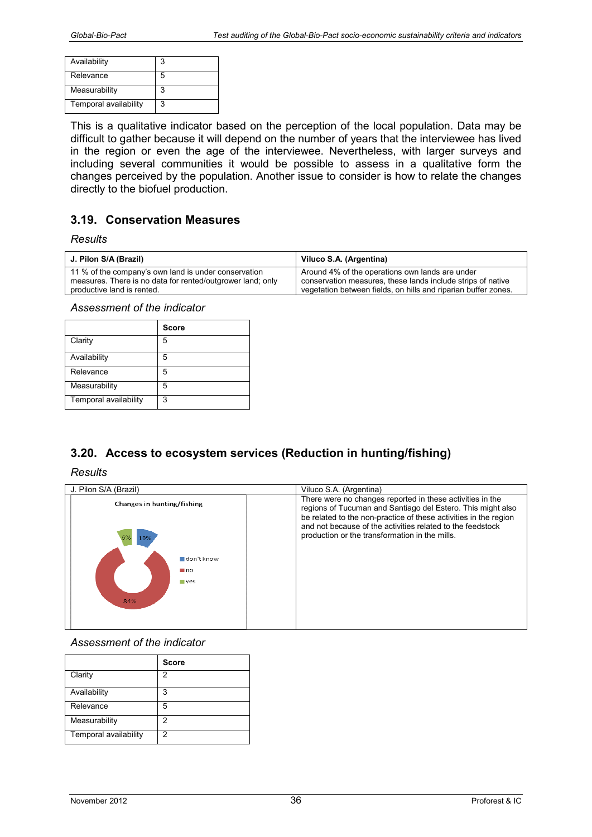| Availability          |    |
|-----------------------|----|
| Relevance             | ٠h |
| Measurability         |    |
| Temporal availability | 3  |

This is a qualitative indicator based on the perception of the local population. Data may be difficult to gather because it will depend on the number of years that the interviewee has lived in the region or even the age of the interviewee. Nevertheless, with larger surveys and including several communities it would be possible to assess in a qualitative form the changes perceived by the population. Another issue to consider is how to relate the changes directly to the biofuel production.

# **3.19. Conservation Measures**

#### *Results*

| J. Pilon S/A (Brazil)                                      | Viluco S.A. (Argentina)                                        |
|------------------------------------------------------------|----------------------------------------------------------------|
| 11 % of the company's own land is under conservation       | Around 4% of the operations own lands are under                |
| measures. There is no data for rented/outgrower land; only | conservation measures, these lands include strips of native    |
| productive land is rented.                                 | vegetation between fields, on hills and riparian buffer zones. |

*Assessment of the indicator* 

|                       | <b>Score</b> |
|-----------------------|--------------|
| Clarity               | 5            |
| Availability          | 5            |
| Relevance             | 5            |
| Measurability         | 5            |
| Temporal availability | 3            |

# **3.20. Access to ecosystem services (Reduction in hunting/fishing)**

#### *Results*

| J. Pilon S/A (Brazil)                                               | Viluco S.A. (Argentina)                                                                                                                                                                                                                                                                                      |
|---------------------------------------------------------------------|--------------------------------------------------------------------------------------------------------------------------------------------------------------------------------------------------------------------------------------------------------------------------------------------------------------|
| Changes in hunting/fishing<br>10%                                   | There were no changes reported in these activities in the<br>regions of Tucuman and Santiago del Estero. This might also<br>be related to the non-practice of these activities in the region<br>and not because of the activities related to the feedstock<br>production or the transformation in the mills. |
| $\blacksquare$ don't know<br>$\blacksquare$ no<br><b>ves</b><br>84% |                                                                                                                                                                                                                                                                                                              |

|                       | <b>Score</b> |
|-----------------------|--------------|
| Clarity               | 2            |
| Availability          | 3            |
| Relevance             | 5            |
| Measurability         | 2            |
| Temporal availability | 2            |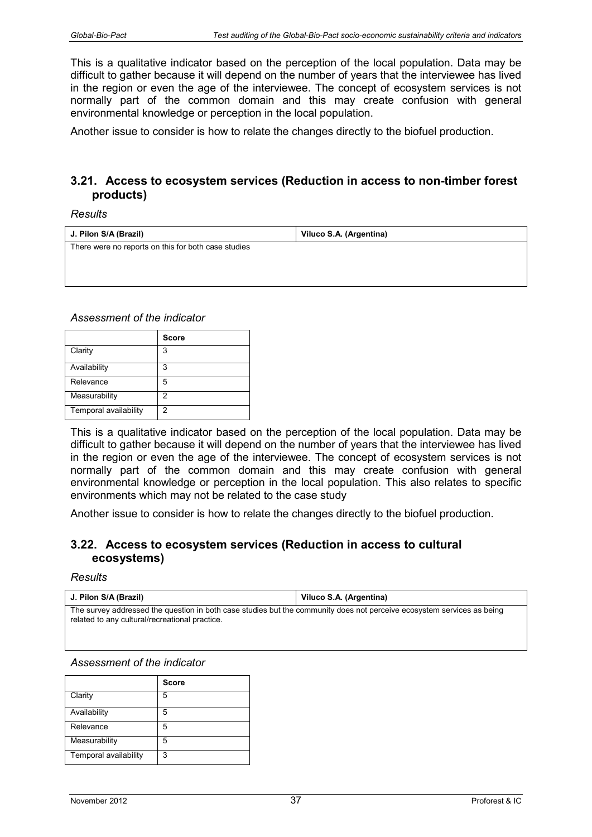This is a qualitative indicator based on the perception of the local population. Data may be difficult to gather because it will depend on the number of years that the interviewee has lived in the region or even the age of the interviewee. The concept of ecosystem services is not normally part of the common domain and this may create confusion with general environmental knowledge or perception in the local population.

Another issue to consider is how to relate the changes directly to the biofuel production.

# **3.21. Access to ecosystem services (Reduction in access to non-timber forest products)**

*Results* 

| J. Pilon S/A (Brazil)                               | Viluco S.A. (Argentina) |
|-----------------------------------------------------|-------------------------|
| There were no reports on this for both case studies |                         |
|                                                     |                         |
|                                                     |                         |

*Assessment of the indicator* 

|                       | <b>Score</b> |
|-----------------------|--------------|
| Clarity               | 3            |
| Availability          | 3            |
| Relevance             | 5            |
| Measurability         | 2            |
| Temporal availability | 2            |

This is a qualitative indicator based on the perception of the local population. Data may be difficult to gather because it will depend on the number of years that the interviewee has lived in the region or even the age of the interviewee. The concept of ecosystem services is not normally part of the common domain and this may create confusion with general environmental knowledge or perception in the local population. This also relates to specific environments which may not be related to the case study

Another issue to consider is how to relate the changes directly to the biofuel production.

# **3.22. Access to ecosystem services (Reduction in access to cultural ecosystems)**

#### *Results*

| J. Pilon S/A (Brazil)                                                                                                                                                    | Viluco S.A. (Argentina) |
|--------------------------------------------------------------------------------------------------------------------------------------------------------------------------|-------------------------|
| The survey addressed the question in both case studies but the community does not perceive ecosystem services as being<br>related to any cultural/recreational practice. |                         |

|                       | <b>Score</b> |
|-----------------------|--------------|
| Clarity               | 5            |
| Availability          | 5            |
| Relevance             | 5            |
| Measurability         | 5            |
| Temporal availability | 3            |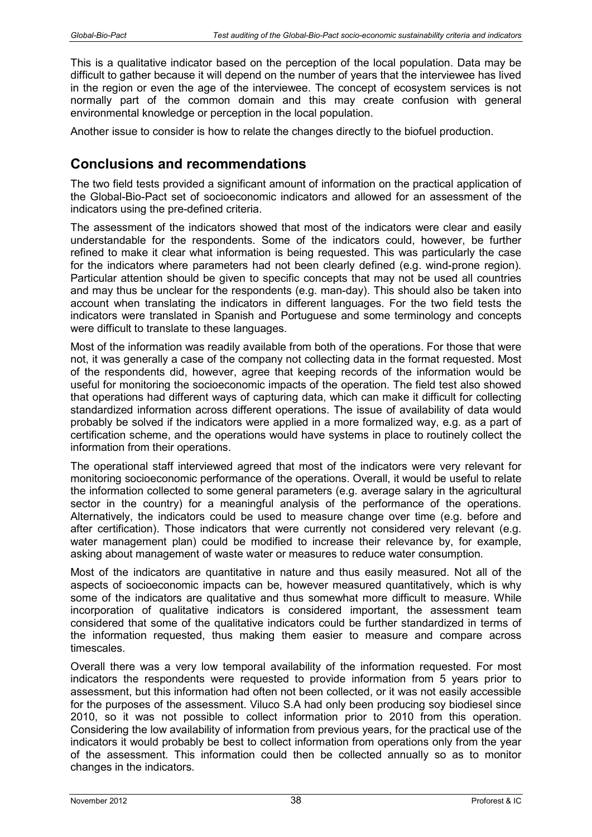This is a qualitative indicator based on the perception of the local population. Data may be difficult to gather because it will depend on the number of years that the interviewee has lived in the region or even the age of the interviewee. The concept of ecosystem services is not normally part of the common domain and this may create confusion with general environmental knowledge or perception in the local population.

Another issue to consider is how to relate the changes directly to the biofuel production.

# **Conclusions and recommendations**

The two field tests provided a significant amount of information on the practical application of the Global-Bio-Pact set of socioeconomic indicators and allowed for an assessment of the indicators using the pre-defined criteria.

The assessment of the indicators showed that most of the indicators were clear and easily understandable for the respondents. Some of the indicators could, however, be further refined to make it clear what information is being requested. This was particularly the case for the indicators where parameters had not been clearly defined (e.g. wind-prone region). Particular attention should be given to specific concepts that may not be used all countries and may thus be unclear for the respondents (e.g. man-day). This should also be taken into account when translating the indicators in different languages. For the two field tests the indicators were translated in Spanish and Portuguese and some terminology and concepts were difficult to translate to these languages.

Most of the information was readily available from both of the operations. For those that were not, it was generally a case of the company not collecting data in the format requested. Most of the respondents did, however, agree that keeping records of the information would be useful for monitoring the socioeconomic impacts of the operation. The field test also showed that operations had different ways of capturing data, which can make it difficult for collecting standardized information across different operations. The issue of availability of data would probably be solved if the indicators were applied in a more formalized way, e.g. as a part of certification scheme, and the operations would have systems in place to routinely collect the information from their operations.

The operational staff interviewed agreed that most of the indicators were very relevant for monitoring socioeconomic performance of the operations. Overall, it would be useful to relate the information collected to some general parameters (e.g. average salary in the agricultural sector in the country) for a meaningful analysis of the performance of the operations. Alternatively, the indicators could be used to measure change over time (e.g. before and after certification). Those indicators that were currently not considered very relevant (e.g. water management plan) could be modified to increase their relevance by, for example, asking about management of waste water or measures to reduce water consumption.

Most of the indicators are quantitative in nature and thus easily measured. Not all of the aspects of socioeconomic impacts can be, however measured quantitatively, which is why some of the indicators are qualitative and thus somewhat more difficult to measure. While incorporation of qualitative indicators is considered important, the assessment team considered that some of the qualitative indicators could be further standardized in terms of the information requested, thus making them easier to measure and compare across timescales.

Overall there was a very low temporal availability of the information requested. For most indicators the respondents were requested to provide information from 5 years prior to assessment, but this information had often not been collected, or it was not easily accessible for the purposes of the assessment. Viluco S.A had only been producing soy biodiesel since 2010, so it was not possible to collect information prior to 2010 from this operation. Considering the low availability of information from previous years, for the practical use of the indicators it would probably be best to collect information from operations only from the year of the assessment. This information could then be collected annually so as to monitor changes in the indicators.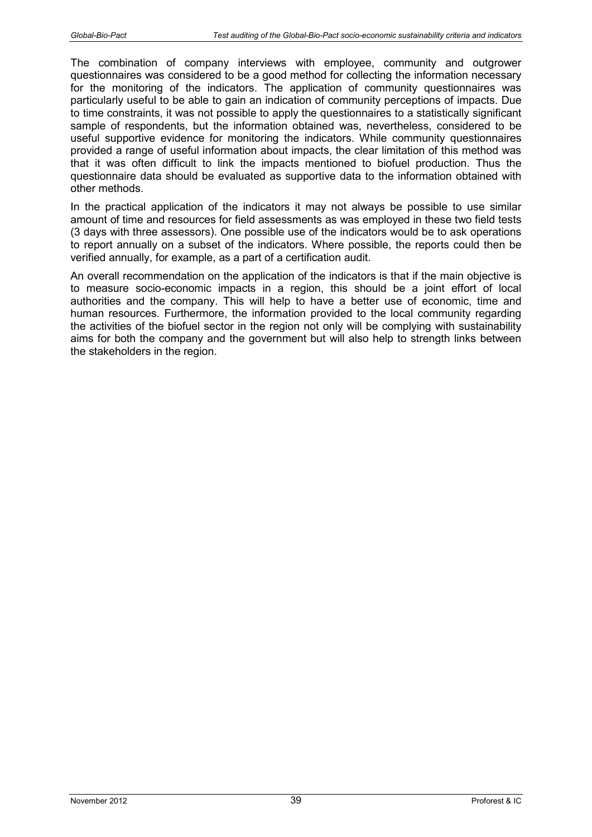The combination of company interviews with employee, community and outgrower questionnaires was considered to be a good method for collecting the information necessary for the monitoring of the indicators. The application of community questionnaires was particularly useful to be able to gain an indication of community perceptions of impacts. Due to time constraints, it was not possible to apply the questionnaires to a statistically significant sample of respondents, but the information obtained was, nevertheless, considered to be useful supportive evidence for monitoring the indicators. While community questionnaires provided a range of useful information about impacts, the clear limitation of this method was that it was often difficult to link the impacts mentioned to biofuel production. Thus the questionnaire data should be evaluated as supportive data to the information obtained with other methods.

In the practical application of the indicators it may not always be possible to use similar amount of time and resources for field assessments as was employed in these two field tests (3 days with three assessors). One possible use of the indicators would be to ask operations to report annually on a subset of the indicators. Where possible, the reports could then be verified annually, for example, as a part of a certification audit.

An overall recommendation on the application of the indicators is that if the main objective is to measure socio-economic impacts in a region, this should be a joint effort of local authorities and the company. This will help to have a better use of economic, time and human resources. Furthermore, the information provided to the local community regarding the activities of the biofuel sector in the region not only will be complying with sustainability aims for both the company and the government but will also help to strength links between the stakeholders in the region.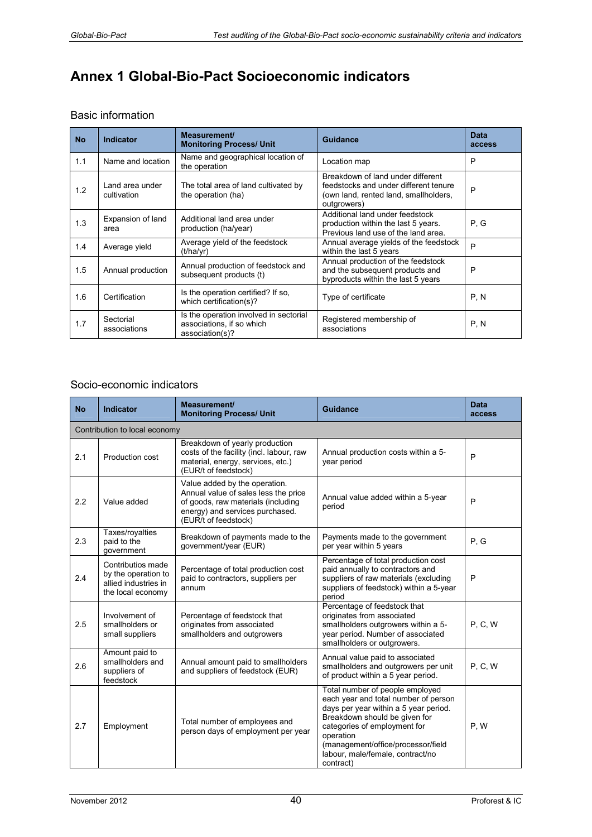# **Annex 1 Global-Bio-Pact Socioeconomic indicators**

### Basic information

| <b>No</b> | <b>Indicator</b>               | Measurement/<br><b>Monitoring Process/ Unit</b>                                        | Guidance                                                                                                                           | <b>Data</b><br>access |
|-----------|--------------------------------|----------------------------------------------------------------------------------------|------------------------------------------------------------------------------------------------------------------------------------|-----------------------|
| 1.1       | Name and location              | Name and geographical location of<br>the operation                                     | Location map                                                                                                                       | P                     |
| 1.2       | Land area under<br>cultivation | The total area of land cultivated by<br>the operation (ha)                             | Breakdown of land under different<br>feedstocks and under different tenure<br>(own land, rented land, smallholders,<br>outgrowers) | P                     |
| 1.3       | Expansion of land<br>area      | Additional land area under<br>production (ha/year)                                     | Additional land under feedstock<br>production within the last 5 years.<br>Previous land use of the land area.                      | P, G                  |
| 1.4       | Average yield                  | Average yield of the feedstock<br>(t/ha/vr)                                            | Annual average yields of the feedstock<br>within the last 5 years                                                                  | P                     |
| 1.5       | Annual production              | Annual production of feedstock and<br>subsequent products (t)                          | Annual production of the feedstock<br>and the subsequent products and<br>byproducts within the last 5 years                        | P                     |
| 1.6       | Certification                  | Is the operation certified? If so.<br>which certification(s)?                          | Type of certificate                                                                                                                | P, N                  |
| 1.7       | Sectorial<br>associations      | Is the operation involved in sectorial<br>associations, if so which<br>association(s)? | Registered membership of<br>associations                                                                                           | P, N                  |

#### Socio-economic indicators

| <b>No</b> | Indicator                                                                             | Measurement/<br><b>Monitoring Process/ Unit</b>                                                                                                                        | Guidance                                                                                                                                                                                                                                                                              | <b>Data</b><br>access |
|-----------|---------------------------------------------------------------------------------------|------------------------------------------------------------------------------------------------------------------------------------------------------------------------|---------------------------------------------------------------------------------------------------------------------------------------------------------------------------------------------------------------------------------------------------------------------------------------|-----------------------|
|           | Contribution to local economy                                                         |                                                                                                                                                                        |                                                                                                                                                                                                                                                                                       |                       |
| 2.1       | Production cost                                                                       | Breakdown of yearly production<br>costs of the facility (incl. labour, raw<br>material, energy, services, etc.)<br>(EUR/t of feedstock)                                | Annual production costs within a 5-<br>vear period                                                                                                                                                                                                                                    |                       |
| 2.2       | Value added                                                                           | Value added by the operation.<br>Annual value of sales less the price<br>of goods, raw materials (including<br>energy) and services purchased.<br>(EUR/t of feedstock) | Annual value added within a 5-year<br>period                                                                                                                                                                                                                                          | P                     |
| 2.3       | Taxes/royalties<br>paid to the<br>qovernment                                          | Breakdown of payments made to the<br>qovernment/year (EUR)                                                                                                             | Payments made to the government<br>per year within 5 years                                                                                                                                                                                                                            | P, G                  |
| 2.4       | Contributios made<br>by the operation to<br>allied industries in<br>the local economy | Percentage of total production cost<br>paid to contractors, suppliers per<br>annum                                                                                     | Percentage of total production cost<br>paid annually to contractors and<br>suppliers of raw materials (excluding<br>suppliers of feedstock) within a 5-year<br>period                                                                                                                 | P                     |
| 2.5       | Involvement of<br>smallholders or<br>small suppliers                                  | Percentage of feedstock that<br>originates from associated<br>smallholders and outgrowers                                                                              | Percentage of feedstock that<br>originates from associated<br>smallholders outgrowers within a 5-<br>year period. Number of associated<br>smallholders or outgrowers.                                                                                                                 | P, C, W               |
| 2.6       | Amount paid to<br>smallholders and<br>suppliers of<br>feedstock                       | Annual amount paid to smallholders<br>and suppliers of feedstock (EUR)                                                                                                 | Annual value paid to associated<br>smallholders and outgrowers per unit<br>of product within a 5 year period.                                                                                                                                                                         | <b>P</b> , C, W       |
| 2.7       | Employment                                                                            | Total number of employees and<br>person days of employment per year                                                                                                    | Total number of people employed<br>each year and total number of person<br>days per year within a 5 year period.<br>Breakdown should be given for<br>categories of employment for<br>operation<br>(management/office/processor/field<br>labour, male/female, contract/no<br>contract) | P, W                  |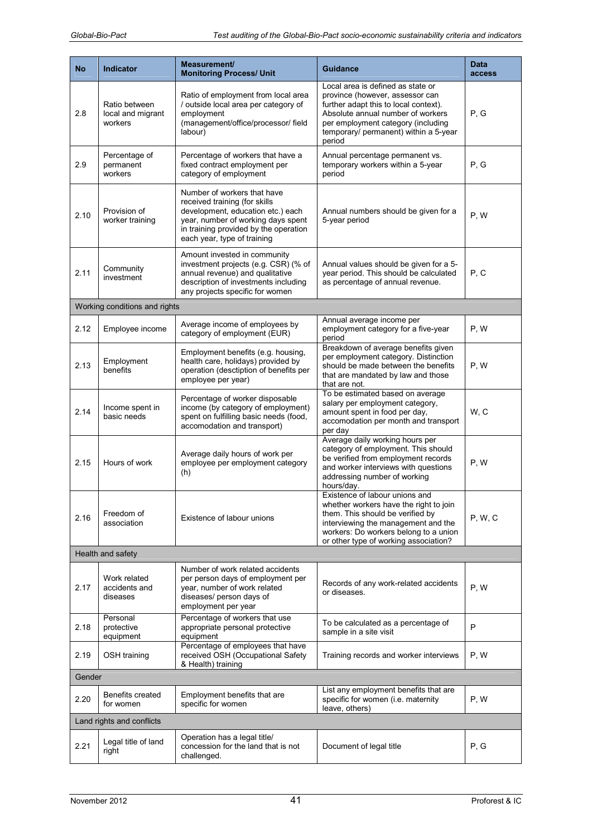| <b>No</b>                 | <b>Indicator</b>                              | Measurement/<br><b>Monitoring Process/ Unit</b>                                                                                                                                                                 | <b>Guidance</b>                                                                                                                                                                                                                             | <b>Data</b><br>access |
|---------------------------|-----------------------------------------------|-----------------------------------------------------------------------------------------------------------------------------------------------------------------------------------------------------------------|---------------------------------------------------------------------------------------------------------------------------------------------------------------------------------------------------------------------------------------------|-----------------------|
| 2.8                       | Ratio between<br>local and migrant<br>workers | Ratio of employment from local area<br>/ outside local area per category of<br>employment<br>(management/office/processor/ field<br>labour)                                                                     | Local area is defined as state or<br>province (however, assessor can<br>further adapt this to local context).<br>Absolute annual number of workers<br>per employment category (including<br>temporary/ permanent) within a 5-year<br>period | P, G                  |
| 2.9                       | Percentage of<br>permanent<br>workers         | Percentage of workers that have a<br>fixed contract employment per<br>category of employment                                                                                                                    | Annual percentage permanent vs.<br>temporary workers within a 5-year<br>period                                                                                                                                                              | P, G                  |
| 2.10                      | Provision of<br>worker training               | Number of workers that have<br>received training (for skills<br>development, education etc.) each<br>year, number of working days spent<br>in training provided by the operation<br>each year, type of training | Annual numbers should be given for a<br>5-year period                                                                                                                                                                                       | P, W                  |
| 2.11                      | Community<br>investment                       | Amount invested in community<br>investment projects (e.g. CSR) (% of<br>annual revenue) and qualitative<br>description of investments including<br>any projects specific for women                              | Annual values should be given for a 5-<br>year period. This should be calculated<br>as percentage of annual revenue.                                                                                                                        | P, C                  |
|                           | Working conditions and rights                 |                                                                                                                                                                                                                 |                                                                                                                                                                                                                                             |                       |
| 2.12                      | Employee income                               | Average income of employees by<br>category of employment (EUR)                                                                                                                                                  | Annual average income per<br>employment category for a five-year<br>period                                                                                                                                                                  | P, W                  |
| 2.13                      | Employment<br>benefits                        | Employment benefits (e.g. housing,<br>health care, holidays) provided by<br>operation (desctiption of benefits per<br>employee per year)                                                                        | Breakdown of average benefits given<br>per employment category. Distinction<br>should be made between the benefits<br>that are mandated by law and those<br>that are not.                                                                   | P, W                  |
| 2.14                      | Income spent in<br>basic needs                | Percentage of worker disposable<br>income (by category of employment)<br>spent on fulfilling basic needs (food,<br>accomodation and transport)                                                                  | To be estimated based on average<br>salary per employment category,<br>amount spent in food per day,<br>accomodation per month and transport<br>per day                                                                                     | W.C                   |
| 2.15                      | Hours of work                                 | Average daily hours of work per<br>employee per employment category<br>(h)                                                                                                                                      | Average daily working hours per<br>category of employment. This should<br>be verified from employment records<br>and worker interviews with questions<br>addressing number of working<br>hours/day.                                         | P, W                  |
| 2.16                      | Freedom of<br>association                     | Existence of labour unions                                                                                                                                                                                      | Existence of labour unions and<br>whether workers have the right to join<br>them. This should be verified by<br>interviewing the management and the<br>workers: Do workers belong to a union<br>or other type of working association?       | <b>P, W, C</b>        |
|                           | Health and safety                             |                                                                                                                                                                                                                 |                                                                                                                                                                                                                                             |                       |
| 2.17                      | Work related<br>accidents and<br>diseases     | Number of work related accidents<br>per person days of employment per<br>year, number of work related<br>diseases/ person days of<br>employment per year                                                        | Records of any work-related accidents<br>or diseases.                                                                                                                                                                                       | P, W                  |
| 2.18                      | Personal<br>protective<br>equipment           | Percentage of workers that use<br>appropriate personal protective<br>equipment                                                                                                                                  | To be calculated as a percentage of<br>sample in a site visit                                                                                                                                                                               | P                     |
| 2.19                      | OSH training                                  | Percentage of employees that have<br>received OSH (Occupational Safety<br>& Health) training                                                                                                                    | Training records and worker interviews                                                                                                                                                                                                      | P, W                  |
|                           | Gender                                        |                                                                                                                                                                                                                 |                                                                                                                                                                                                                                             |                       |
| 2.20                      | Benefits created<br>for women                 | Employment benefits that are<br>specific for women                                                                                                                                                              | List any employment benefits that are<br>specific for women (i.e. maternity<br>leave, others)                                                                                                                                               | P, W                  |
| Land rights and conflicts |                                               |                                                                                                                                                                                                                 |                                                                                                                                                                                                                                             |                       |
| 2.21                      | Legal title of land<br>right                  | Operation has a legal title/<br>concession for the land that is not<br>challenged.                                                                                                                              | Document of legal title                                                                                                                                                                                                                     | P, G                  |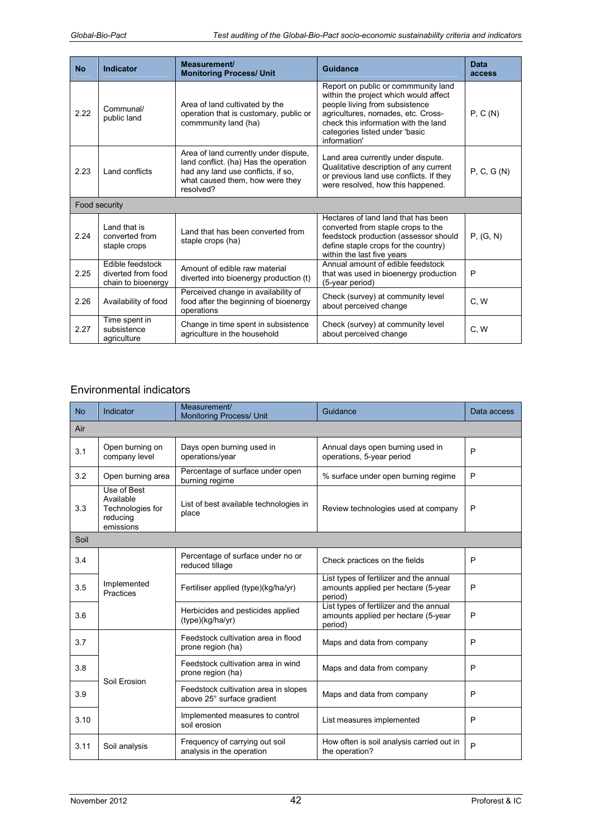| <b>No</b> | Indicator                                                    | Measurement/<br><b>Monitoring Process/ Unit</b>                                                                                                                      | Guidance                                                                                                                                                                                                                                       | Data<br>access |  |
|-----------|--------------------------------------------------------------|----------------------------------------------------------------------------------------------------------------------------------------------------------------------|------------------------------------------------------------------------------------------------------------------------------------------------------------------------------------------------------------------------------------------------|----------------|--|
| 2.22      | Communal/<br>public land                                     | Area of land cultivated by the<br>operation that is customary, public or<br>commmunity land (ha)                                                                     | Report on public or commmunity land<br>within the project which would affect<br>people living from subsistence<br>agricultures, nomades, etc. Cross-<br>check this information with the land<br>categories listed under 'basic<br>information' | P, C(N)        |  |
| 2.23      | Land conflicts                                               | Area of land currently under dispute,<br>land conflict. (ha) Has the operation<br>had any land use conflicts, if so,<br>what caused them, how were they<br>resolved? | Land area currently under dispute.<br>Qualitative description of any current<br>or previous land use conflicts. If they<br>were resolved, how this happened.                                                                                   | P, C, G(N)     |  |
|           | Food security                                                |                                                                                                                                                                      |                                                                                                                                                                                                                                                |                |  |
| 2.24      | Land that is<br>converted from<br>staple crops               | Land that has been converted from<br>staple crops (ha)                                                                                                               | Hectares of land land that has been<br>converted from staple crops to the<br>feedstock production (assessor should<br>define staple crops for the country)<br>within the last five years                                                       | P, (G, N)      |  |
| 2.25      | Edible feedstock<br>diverted from food<br>chain to bioenergy | Amount of edible raw material<br>diverted into bioenergy production (t)                                                                                              | Annual amount of edible feedstock<br>that was used in bioenergy production<br>(5-year period)                                                                                                                                                  | P              |  |
| 2.26      | Availability of food                                         | Perceived change in availability of<br>food after the beginning of bioenergy<br>operations                                                                           | Check (survey) at community level<br>C, W<br>about perceived change                                                                                                                                                                            |                |  |
| 2.27      | Time spent in<br>subsistence<br>agriculture                  | Change in time spent in subsistence<br>agriculture in the household                                                                                                  | Check (survey) at community level<br>about perceived change                                                                                                                                                                                    | C.W            |  |

### Environmental indicators

| <b>No</b> | Indicator                                                             | Measurement/<br><b>Monitoring Process/ Unit</b>                                           | Guidance                                                                                  | Data access |
|-----------|-----------------------------------------------------------------------|-------------------------------------------------------------------------------------------|-------------------------------------------------------------------------------------------|-------------|
| Air       |                                                                       |                                                                                           |                                                                                           |             |
| 3.1       | Open burning on<br>company level                                      | Days open burning used in<br>operations/year                                              | Annual days open burning used in<br>operations, 5-year period                             | P           |
| 3.2       | Open burning area                                                     | Percentage of surface under open<br>% surface under open burning regime<br>burning regime |                                                                                           | P           |
| 3.3       | Use of Best<br>Available<br>Technologies for<br>reducing<br>emissions | List of best available technologies in<br>place                                           | Review technologies used at company                                                       | P           |
| Soil      |                                                                       |                                                                                           |                                                                                           |             |
| 3.4       |                                                                       | Percentage of surface under no or<br>reduced tillage                                      | Check practices on the fields                                                             | P           |
| 3.5       | Implemented<br>Practices                                              | Fertiliser applied (type)(kg/ha/yr)                                                       | List types of fertilizer and the annual<br>amounts applied per hectare (5-year<br>period) | P           |
| 3.6       |                                                                       | Herbicides and pesticides applied<br>(type)(kg/ha/yr)                                     | List types of fertilizer and the annual<br>amounts applied per hectare (5-year<br>period) | P           |
| 3.7       |                                                                       | Feedstock cultivation area in flood<br>prone region (ha)                                  | Maps and data from company                                                                | P           |
| 3.8       | Soil Erosion                                                          | Feedstock cultivation area in wind<br>prone region (ha)                                   | Maps and data from company                                                                | P           |
| 3.9       |                                                                       | Feedstock cultivation area in slopes<br>above 25° surface gradient                        | Maps and data from company                                                                | P           |
| 3.10      |                                                                       | Implemented measures to control<br>soil erosion                                           | List measures implemented                                                                 | P           |
| 3.11      | Soil analysis                                                         | Frequency of carrying out soil<br>analysis in the operation                               | How often is soil analysis carried out in<br>the operation?                               | P           |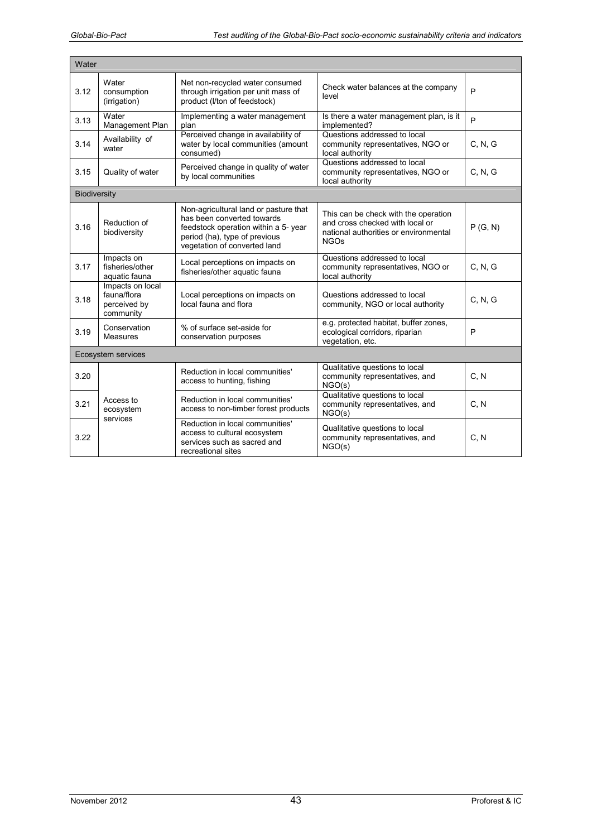| Water               |                                                              |                                                                                                                                                                              |                                                                                                                                 |         |
|---------------------|--------------------------------------------------------------|------------------------------------------------------------------------------------------------------------------------------------------------------------------------------|---------------------------------------------------------------------------------------------------------------------------------|---------|
| 3.12                | Water<br>consumption<br>(irrigation)                         | Net non-recycled water consumed<br>through irrigation per unit mass of<br>product (I/ton of feedstock)                                                                       | Check water balances at the company<br>level                                                                                    | P       |
| 3.13                | Water<br>Management Plan                                     | Implementing a water management<br>Is there a water management plan, is it<br>implemented?<br>plan                                                                           |                                                                                                                                 | P       |
| 3.14                | Availability of<br>water                                     | Perceived change in availability of<br>water by local communities (amount<br>consumed)                                                                                       | Questions addressed to local<br>community representatives, NGO or<br>local authority                                            | C, N, G |
| 3.15                | Quality of water                                             | Perceived change in quality of water<br>by local communities                                                                                                                 | Questions addressed to local<br>community representatives, NGO or<br>local authority                                            | C, N, G |
| <b>Biodiversity</b> |                                                              |                                                                                                                                                                              |                                                                                                                                 |         |
| 3.16                | Reduction of<br>biodiversity                                 | Non-agricultural land or pasture that<br>has been converted towards<br>feedstock operation within a 5- year<br>period (ha), type of previous<br>vegetation of converted land | This can be check with the operation<br>and cross checked with local or<br>national authorities or environmental<br><b>NGOs</b> | P(G, N) |
| 3.17                | Impacts on<br>fisheries/other<br>aquatic fauna               | Local perceptions on impacts on<br>fisheries/other aquatic fauna                                                                                                             | Questions addressed to local<br>community representatives, NGO or<br>local authority                                            | C, N, G |
| 3.18                | Impacts on local<br>fauna/flora<br>perceived by<br>community | Local perceptions on impacts on<br>local fauna and flora                                                                                                                     | Questions addressed to local<br>community, NGO or local authority                                                               | C, N, G |
| 3.19                | Conservation<br>Measures                                     | % of surface set-aside for<br>conservation purposes                                                                                                                          | e.g. protected habitat, buffer zones,<br>ecological corridors, riparian<br>vegetation, etc.                                     | P       |
| Ecosystem services  |                                                              |                                                                                                                                                                              |                                                                                                                                 |         |
| 3.20                |                                                              | Reduction in local communities'<br>access to hunting, fishing                                                                                                                | Qualitative questions to local<br>community representatives, and<br>NGO(s)                                                      | C, N    |
| 3.21                | Access to<br>ecosystem                                       | Reduction in local communities'<br>access to non-timber forest products                                                                                                      | Qualitative questions to local<br>community representatives, and<br>NGO(s)                                                      | C, N    |
| 3.22                | services                                                     | Reduction in local communities'<br>access to cultural ecosystem<br>services such as sacred and<br>recreational sites                                                         | Qualitative questions to local<br>community representatives, and<br>NGO(s)                                                      | C, N    |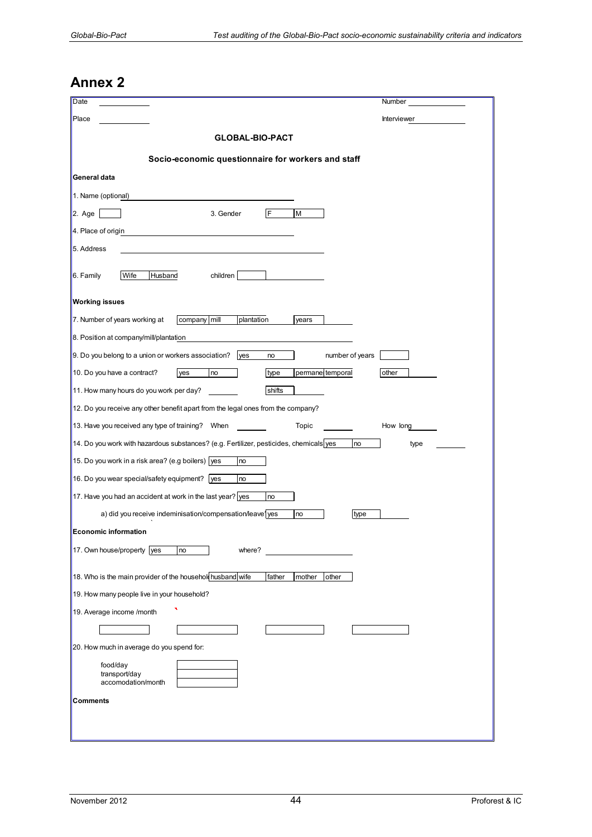# **Annex 2**

| Date                                                                                         | Number      |
|----------------------------------------------------------------------------------------------|-------------|
| Place                                                                                        | Interviewer |
| <b>GLOBAL-BIO-PACT</b>                                                                       |             |
| Socio-economic questionnaire for workers and staff                                           |             |
| General data                                                                                 |             |
| 1. Name (optional)                                                                           |             |
| 3. Gender<br>IF<br>М<br>$2. \text{Age}$                                                      |             |
| 4. Place of origin                                                                           |             |
| 5. Address                                                                                   |             |
| 6. Family<br>Wife<br>Husband<br>children                                                     |             |
| <b>Working issues</b>                                                                        |             |
| 7. Number of years working at<br>company mill<br>plantation<br>years                         |             |
| 8. Position at company/mill/plantation                                                       |             |
| $\vert$ 9. Do you belong to a union or workers association? yes<br>number of years<br>no     |             |
| 10. Do you have a contract?<br>type<br>permanel temporal<br>no<br>lyes                       | other       |
| 11. How many hours do you work per day?<br>shifts                                            |             |
| 12. Do you receive any other benefit apart from the legal ones from the company?             |             |
| 13. Have you received any type of training? When<br>Topic                                    | How long    |
| 14. Do you work with hazardous substances? (e.g. Fertilizer, pesticides, chemicals yes<br>no | type        |
| 15. Do you work in a risk area? (e.g boilers) yes<br>no                                      |             |
| 16. Do you wear special/safety equipment? yes<br>no                                          |             |
| 17. Have you had an accident at work in the last year? yes<br>no                             |             |
| a) did you receive indeminisation/compensation/leave1yes<br>no<br>type                       |             |
| <b>Economic information</b>                                                                  |             |
| 17. Own house/property yes<br>where?<br>no                                                   |             |
| 18. Who is the main provider of the household husband wife<br>father<br>other<br>mother      |             |
| 19. How many people live in your household?                                                  |             |
| 19. Average income /month                                                                    |             |
|                                                                                              |             |
| 20. How much in average do you spend for:                                                    |             |
| food/day<br>transport/day<br>accomodation/month                                              |             |
| Comments                                                                                     |             |
|                                                                                              |             |
|                                                                                              |             |